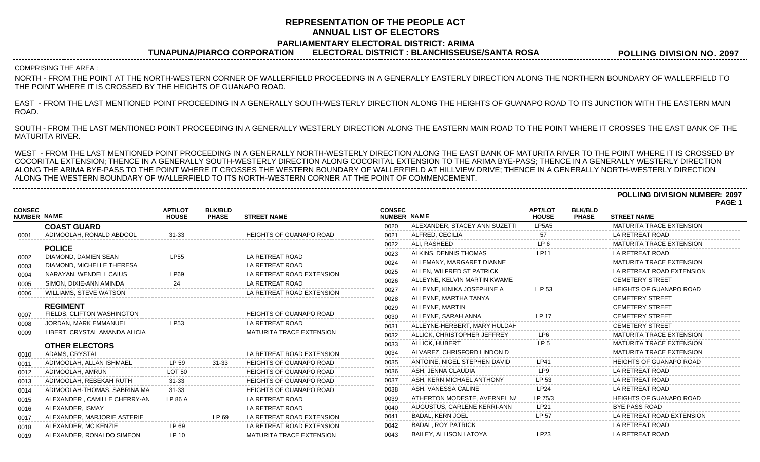### **REPRESENTATION OF THE PEOPLE ACT ANNUAL LIST OF ELECTORS PARLIAMENTARY ELECTORAL DISTRICT: ARIMA**

**TUNAPUNA/PIARCO CORPORATION ELECTORAL DISTRICT : BLANCHISSEUSE/SANTA ROSA**

**POLLING DIVISION NO. 2097**

### COMPRISING THE AREA :

NORTH - FROM THE POINT AT THE NORTH-WESTERN CORNER OF WALLERFIELD PROCEEDING IN A GENERALLY EASTERLY DIRECTION ALONG THE NORTHERN BOUNDARY OF WALLERFIELD TO THE POINT WHERE IT IS CROSSED BY THE HEIGHTS OF GUANAPO ROAD.

EAST - FROM THE LAST MENTIONED POINT PROCEEDING IN A GENERALLY SOUTH-WESTERLY DIRECTION ALONG THE HEIGHTS OF GUANAPO ROAD TO ITS JUNCTION WITH THE EASTERN MAIN ROAD.

SOUTH - FROM THE LAST MENTIONED POINT PROCEEDING IN A GENERALLY WESTERLY DIRECTION ALONG THE EASTERN MAIN ROAD TO THE POINT WHERE IT CROSSES THE EAST BANK OF THE MATURITA RIVER.

WEST - FROM THE LAST MENTIONED POINT PROCEEDING IN A GENERALLY NORTH-WESTERLY DIRECTION ALONG THE EAST BANK OF MATURITA RIVER TO THE POINT WHERE IT IS CROSSED BY COCORITAL EXTENSION; THENCE IN A GENERALLY SOUTH-WESTERLY DIRECTION ALONG COCORITAL EXTENSION TO THE ARIMA BYE-PASS; THENCE IN A GENERALLY WESTERLY DIRECTION ALONG THE ARIMA BYE-PASS TO THE POINT WHERE IT CROSSES THE WESTERN BOUNDARY OF WALLERFIELD AT HILLVIEW DRIVE; THENCE IN A GENERALLY NORTH-WESTERLY DIRECTION ALONG THE WESTERN BOUNDARY OF WALLERFIELD TO ITS NORTH-WESTERN CORNER AT THE POINT OF COMMENCEMENT.

**POLLING DIVISION NUMBER: 2097 PAGE: 1**

| <b>CONSEC</b><br><b>NUMBER NAME</b> |                               | <b>APT/LOT</b><br><b>HOUSE</b> | <b>BLK/BLD</b><br><b>PHASE</b> | <b>STREET NAME</b>              | <b>CONSEC</b><br>NUMBER NAME |                               | <b>APT/LOT</b><br><b>HOUSE</b> | <b>BLK/BLD</b><br><b>PHASE</b> | <b>STREET NAME</b>              |
|-------------------------------------|-------------------------------|--------------------------------|--------------------------------|---------------------------------|------------------------------|-------------------------------|--------------------------------|--------------------------------|---------------------------------|
|                                     | <b>COAST GUARD</b>            |                                |                                |                                 | 0020                         | ALEXANDER, STACEY ANN SUZETTI | LP5A5                          |                                | <b>MATURITA TRACE EXTENSION</b> |
| 0001                                | ADIMOOLAH. RONALD ABDOOL      | $31 - 33$                      |                                | <b>HEIGHTS OF GUANAPO ROAD</b>  | 0021                         | ALFRED, CECILIA               | 57                             |                                | LA RETREAT ROAD                 |
|                                     | <b>POLICE</b>                 |                                |                                |                                 | 0022                         | ALI. RASHEED                  | LP <sub>6</sub>                |                                | <b>MATURITA TRACE EXTENSION</b> |
| 0002                                | DIAMOND, DAMIEN SEAN          | <b>LP55</b>                    |                                | LA RETREAT ROAD                 | 0023                         | ALKINS, DENNIS THOMAS         | LP <sub>1</sub>                |                                | LA RETREAT ROAD                 |
| 0003                                | DIAMOND, MICHELLE THERESA     |                                |                                | LA RETREAT ROAD                 | 0024                         | ALLEMANY, MARGARET DIANNE     |                                |                                | <b>MATURITA TRACE EXTENSION</b> |
| 0004                                | NARAYAN, WENDELL CAIUS        | LP69                           |                                | LA RETREAT ROAD EXTENSION       | 0025                         | ALLEN, WILFRED ST PATRICK     |                                |                                | LA RETREAT ROAD EXTENSION       |
| 0005                                | SIMON, DIXIE-ANN AMINDA       | 24                             |                                | LA RETREAT ROAD                 | 0026                         | ALLEYNE, KELVIN MARTIN KWAME  |                                |                                | <b>CEMETERY STREET</b>          |
| 0006                                | <b>WILLIAMS, STEVE WATSON</b> |                                |                                | LA RETREAT ROAD EXTENSION       | 0027                         | ALLEYNE, KINIKA JOSEPHINE A   | LP 53                          |                                | <b>HEIGHTS OF GUANAPO ROAD</b>  |
|                                     |                               |                                |                                |                                 | 0028                         | ALLEYNE, MARTHA TANYA         |                                |                                | <b>CEMETERY STREET</b>          |
|                                     | <b>REGIMENT</b>               |                                |                                |                                 | 0029                         | ALLEYNE, MARTIN               |                                |                                | <b>CEMETERY STREET</b>          |
| 0007                                | FIELDS, CLIFTON WASHINGTON    |                                |                                | <b>HEIGHTS OF GUANAPO ROAD</b>  | 0030                         | ALLEYNE, SARAH ANNA           | IP 11                          |                                | <b>CEMETERY STREET</b>          |
| 0008                                | JORDAN, MARK EMMANUEL         | <b>LP53</b>                    |                                | LA RETREAT ROAD                 | 0031                         | ALLEYNE-HERBERT, MARY HULDAH  |                                |                                | <b>CEMETERY STREET</b>          |
| 0009                                | LIBERT. CRYSTAL AMANDA ALICIA |                                |                                | MATURITA TRACE EXTENSION        | 0032                         | ALLICK, CHRISTOPHER JEFFREY   | LP6                            |                                | <b>MATURITA TRACE EXTENSION</b> |
|                                     | <b>OTHER ELECTORS</b>         |                                |                                |                                 | 0033                         | ALLICK, HUBERT                | LP <sub>5</sub>                |                                | <b>MATURITA TRACE EXTENSION</b> |
| 0010                                | ADAMS, CRYSTAL                |                                |                                | LA RETREAT ROAD EXTENSION       | 0034                         | ALVAREZ, CHRISFORD LINDON D   |                                |                                | <b>MATURITA TRACE EXTENSION</b> |
| 0011                                | ADIMOOLAH, ALLAN ISHMAEL      | LP 59                          | $31 - 33$                      | <b>HEIGHTS OF GUANAPO ROAD</b>  | 0035                         | ANTOINE, NIGEL STEPHEN DAVID  | <b>LP41</b>                    |                                | <b>HEIGHTS OF GUANAPO ROAD</b>  |
| 0012                                | ADIMOOLAH, AMRUN              | <b>LOT 50</b>                  |                                | <b>HEIGHTS OF GUANAPO ROAD</b>  | 0036                         | ASH. JENNA CLAUDIA            | LP <sub>9</sub>                |                                | LA RETREAT ROAD                 |
| 0013                                | ADIMOOLAH, REBEKAH RUTH       | $31 - 33$                      |                                | <b>HEIGHTS OF GUANAPO ROAD</b>  | 0037                         | ASH. KERN MICHAEL ANTHONY     | LP 53                          |                                | LA RETREAT ROAD                 |
| 0014                                | ADIMOOLAH-THOMAS, SABRINA MA  | ------<br>$31 - 33$            |                                | <b>HEIGHTS OF GUANAPO ROAD</b>  | 0038                         | ASH, VANESSA CALINE           | LP24                           |                                | LA RETREAT ROAD                 |
| 0015                                | ALEXANDER, CAMILLE CHERRY-AN  | LP 86 A                        |                                | LA RETREAT ROAD                 | 0039                         | ATHERTON MODESTE, AVERNEL N/  | LP 75/3                        |                                | <b>HEIGHTS OF GUANAPO ROAD</b>  |
| 0016                                | ALEXANDER, ISMAY              |                                |                                | LA RETREAT ROAD                 | 0040                         | AUGUSTUS, CARLENE KERRI-ANN   | LP21                           |                                | <b>BYE PASS ROAD</b>            |
| 0017                                | ALEXANDER, MARJORIE ASTERIE   |                                | LP 69                          | LA RETREAT ROAD EXTENSION       | 0041                         | <b>BADAL, KERN JOEL</b>       | LP 57                          |                                | LA RETREAT ROAD EXTENSION       |
| 0018                                | ALEXANDER, MC KENZIE          | LP 69                          |                                | LA RETREAT ROAD EXTENSION       | 0042                         | <b>BADAL, ROY PATRICK</b>     |                                |                                | LA RETREAT ROAD                 |
| 0019                                | ALEXANDER, RONALDO SIMEON     | IP 10                          |                                | <b>MATURITA TRACE EXTENSION</b> | 0043                         | <b>BAILEY, ALLISON LATOYA</b> | LP23                           |                                | LA RETREAT ROAD                 |
|                                     |                               |                                |                                |                                 |                              |                               |                                |                                |                                 |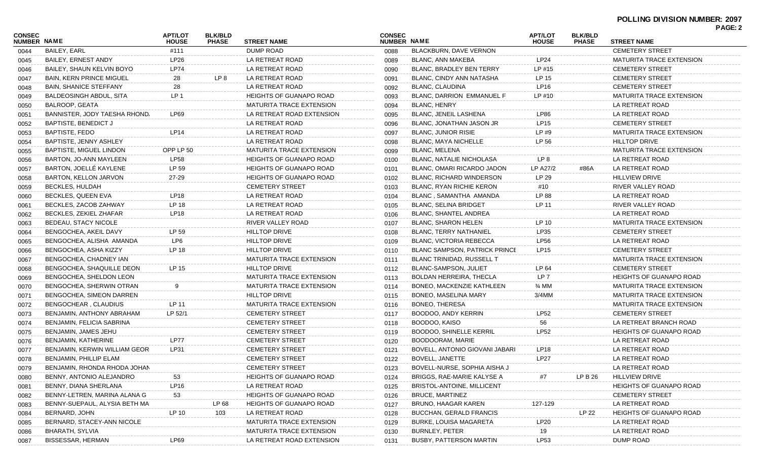|                              |                                 |                                |                                |                                 |                              |                                      |                                |                                |                                                         | PAGE: 2 |
|------------------------------|---------------------------------|--------------------------------|--------------------------------|---------------------------------|------------------------------|--------------------------------------|--------------------------------|--------------------------------|---------------------------------------------------------|---------|
| <b>CONSEC</b><br>NUMBER NAME |                                 | <b>APT/LOT</b><br><b>HOUSE</b> | <b>BLK/BLD</b><br><b>PHASE</b> | <b>STREET NAME</b>              | <b>CONSEC</b><br>NUMBER NAME |                                      | <b>APT/LOT</b><br><b>HOUSE</b> | <b>BLK/BLD</b><br><b>PHASE</b> | <b>STREET NAME</b>                                      |         |
| 0044                         | <b>BAILEY, EARL</b>             | #111                           |                                | <b>DUMP ROAD</b>                | 0088                         | BLACKBURN, DAVE VERNON               |                                |                                | <b>CEMETERY STREET</b>                                  |         |
| 0045                         | <b>BAILEY, ERNEST ANDY</b>      | LP <sub>26</sub>               |                                | LA RETREAT ROAD                 | 0089                         | BLANC, ANN MAKEBA                    | LP <sub>24</sub>               |                                | <b>MATURITA TRACE EXTENSION</b>                         |         |
| 0046                         | BAILEY, SHAUN KELVIN BOYO       | <b>LP74</b>                    |                                | LA RETREAT ROAD                 | 0090                         | BLANC, BRADLEY BEN TERRY             | LP #15                         |                                | <b>CEMETERY STREET</b>                                  |         |
| 0047                         | <b>BAIN, KERN PRINCE MIGUEL</b> | 28                             | LP 8                           | LA RETREAT ROAD                 | 0091                         | BLANC, CINDY ANN NATASHA             | LP 15                          |                                | <b>CEMETERY STREET</b>                                  |         |
| 0048                         | <b>BAIN, SHANICE STEFFANY</b>   | 28                             |                                | LA RETREAT ROAD                 | 0092                         | <b>BLANC, CLAUDINA</b>               | LP16                           |                                | <b>CEMETERY STREET</b>                                  |         |
| 0049                         | BALDEOSINGH ABDUL, SITA         | LP <sub>1</sub>                |                                | <b>HEIGHTS OF GUANAPO ROAD</b>  | 0093                         | BLANC, DARRION EMMANUEL F            | $LP$ #10                       |                                | <b>MATURITA TRACE EXTENSION</b>                         |         |
| 0050                         | BALROOP, GEATA                  |                                |                                | <b>MATURITA TRACE EXTENSION</b> | 0094                         | <b>BLANC, HENRY</b>                  |                                |                                | LA RETREAT ROAD                                         |         |
| 0051                         | BANNISTER, JODY TAESHA RHOND.   | <b>LP69</b>                    |                                | LA RETREAT ROAD EXTENSION       | 0095                         | BLANC, JENEIL LASHENA                | <b>LP86</b>                    |                                | LA RETREAT ROAD                                         |         |
| 0052                         | BAPTISTE, BENEDICT J            |                                |                                | LA RETREAT ROAD                 | 0096                         | BLANC, JONATHAN JASON JR             | <b>LP15</b>                    |                                | <b>CEMETERY STREET</b>                                  |         |
| 0053                         | <b>BAPTISTE, FEDO</b>           | <b>LP14</b>                    |                                | LA RETREAT ROAD                 | 0097                         | <b>BLANC, JUNIOR RISIE</b>           | LP #9                          |                                | <b>MATURITA TRACE EXTENSION</b>                         |         |
| 0054                         | BAPTISTE, JENNY ASHLEY          |                                |                                | LA RETREAT ROAD                 | 0098                         | <b>BLANC, MAYA NICHELLE</b>          | LP 56                          |                                | <b>HILLTOP DRIVE</b>                                    |         |
| 0055                         | <b>BAPTISTE, MIGUEL LINDON</b>  | OPP LP 50                      |                                | <b>MATURITA TRACE EXTENSION</b> | 0099                         | BLANC, MELENA                        |                                |                                | <b>MATURITA TRACE EXTENSION</b>                         |         |
| 0056                         | BARTON, JO-ANN MAYLEEN          | <b>LP58</b>                    |                                | <b>HEIGHTS OF GUANAPO ROAD</b>  | 0100                         | <b>BLANC, NATALIE NICHOLASA</b>      | LP 8                           |                                | LA RETREAT ROAD                                         |         |
| 0057                         | BARTON, JOELLÉ KAYLENE          | LP 59                          |                                | <b>HEIGHTS OF GUANAPO ROAD</b>  | 0101                         | BLANC, OMARI RICARDO JADON           | LP A27/2                       | #86A                           | LA RETREAT ROAD                                         |         |
| 0058                         | BARTON, KELLON JARVON           | 27-29                          |                                | <b>HEIGHTS OF GUANAPO ROAD</b>  | 0102                         | <b>BLANC, RICHARD WINDERSON</b>      | LP 29                          |                                | <b>HILLVIEW DRIVE</b>                                   |         |
| 0059                         | <b>BECKLES, HULDAH</b>          |                                |                                | <b>CEMETERY STREET</b>          | 0103                         | <b>BLANC, RYAN RICHIE KERON</b>      | #10                            |                                | RIVER VALLEY ROAD                                       |         |
| 0060                         | BECKLES, QUEEN EVA              | LP <sub>18</sub>               |                                | LA RETREAT ROAD                 | 0104                         | BLANC, SAMANTHA AMANDA               | LP 88                          |                                | LA RETREAT ROAD                                         |         |
| 0061                         | BECKLES, ZACOB ZAHWAY           | LP 18                          |                                | LA RETREAT ROAD                 | 0105                         | <b>BLANC, SELINA BRIDGET</b>         | LP 11                          |                                | RIVER VALLEY ROAD                                       |         |
| 0062                         | BECKLES, ZEKIEL ZHAFAR          | LP <sub>18</sub>               |                                | LA RETREAT ROAD                 | 0106                         | <b>BLANC, SHANTEL ANDREA</b>         |                                |                                | LA RETREAT ROAD                                         |         |
| 0063                         | BEDEAU, STACY NICOLE            |                                |                                | RIVER VALLEY ROAD               | 0107                         | <b>BLANC, SHARON HELEN</b>           | LP 10                          |                                | <b>MATURITA TRACE EXTENSION</b>                         |         |
| 0064                         | BENGOCHEA, AKEIL DAVY           | LP 59                          |                                | <b>HILLTOP DRIVE</b>            | 0108                         | <b>BLANC, TERRY NATHANIEL</b>        | LP35                           |                                | <b>CEMETERY STREET</b>                                  |         |
| 0065                         | BENGOCHEA, ALISHA AMANDA        | LP6                            |                                | <b>HILLTOP DRIVE</b>            | 0109                         | <b>BLANC, VICTORIA REBECCA</b>       | <b>LP56</b>                    |                                | LA RETREAT ROAD                                         |         |
| 0066                         | BENGOCHEA, ASHA KIZZY           | LP 18                          |                                | <b>HILLTOP DRIVE</b>            | 0110                         | <b>BLANC SAMPSON, PATRICK PRINCE</b> | <b>LP15</b>                    |                                | <b>CEMETERY STREET</b>                                  |         |
| 0067                         | BENGOCHEA, CHADNEY IAN          |                                |                                | MATURITA TRACE EXTENSION        | 0111                         | <b>BLANC TRINIDAD, RUSSELL T</b>     |                                |                                | <b>MATURITA TRACE EXTENSION</b>                         |         |
| 0068                         | BENGOCHEA, SHAQUILLE DEON       | LP 15                          |                                | <b>HILLTOP DRIVE</b>            | 0112                         | <b>BLANC-SAMPSON, JULIET</b>         | LP 64                          |                                | <b>CEMETERY STREET</b>                                  |         |
| 0069                         | BENGOCHEA, SHELDON LEON         |                                |                                | MATURITA TRACE EXTENSION        | 0113                         | <b>BOLDAN HERREIRA, THECLA</b>       | LP 7                           |                                | <b>HEIGHTS OF GUANAPO ROAD</b>                          |         |
| 0070                         | BENGOCHEA, SHERWIN OTRAN        | 9                              |                                | <b>MATURITA TRACE EXTENSION</b> | 0114                         | BONEO, MACKENZIE KATHLEEN            | 3⁄4 MM                         |                                | <b>MATURITA TRACE EXTENSION</b>                         |         |
| 0071                         | BENGOCHEA, SIMEON DARREN        |                                |                                | <b>HILLTOP DRIVE</b>            | 0115                         | <b>BONEO, MASELINA MARY</b>          | $3/4$ MM                       |                                | <b>MATURITA TRACE EXTENSION</b>                         |         |
| 0072                         | BENGOCHEAR, CLAUDIUS            | LP 11                          |                                | MATURITA TRACE EXTENSION        | 0116                         | BONEO, THERESA                       |                                |                                | <b>MATURITA TRACE EXTENSION</b>                         |         |
| 0073                         | BENJAMIN, ANTHONY ABRAHAM       | LP 52/1                        |                                | <b>CEMETERY STREET</b>          | 0117                         | BOODOO, ANDY KERRIN                  | <b>LP52</b>                    |                                | <b>CEMETERY STREET</b>                                  |         |
| 0074                         | BENJAMIN, FELICIA SABRINA       |                                |                                | <b>CEMETERY STREET</b>          | 0118                         | BOODOO, KAISO                        | 56                             |                                | LA RETREAT BRANCH ROAD                                  |         |
| 0075                         | BENJAMIN, JAMES JEHU            |                                |                                | <b>CEMETERY STREET</b>          | 0119                         | <b>BOODOO, SHINELLE KERRIL</b>       | <b>LP52</b>                    |                                | <b>HEIGHTS OF GUANAPO ROAD</b>                          |         |
| 0076                         | BENJAMIN, KATHERINE             | LP77                           |                                | <b>CEMETERY STREET</b>          | 0120                         | BOODOORAM, MARIE                     |                                |                                | LA RETREAT ROAD                                         |         |
|                              | BENJAMIN, KERWIN WILLIAM GEOR   | LP31                           |                                | <b>CEMETERY STREET</b>          |                              | BOVELL, ANTONIO GIOVANI JABARI       | LP <sub>18</sub>               |                                | LA RETREAT ROAD                                         |         |
| 0077                         | BENJAMIN, PHILLIP ELAM          |                                |                                | <b>CEMETERY STREET</b>          | 0121                         | <b>BOVELL, JANETTE</b>               | <b>LP27</b>                    |                                | LA RETREAT ROAD                                         |         |
| 0078                         |                                 |                                |                                |                                 | 0122                         | BOVELL-NURSE, SOPHIA AISHA J         |                                |                                | LA RETREAT ROAD                                         |         |
| 0079                         | BENJAMIN, RHONDA RHODA JOHAN    |                                |                                | <b>CEMETERY STREET</b>          | 0123                         |                                      |                                |                                |                                                         |         |
| 0080                         | BENNY, ANTONIO ALEJANDRO        | 53                             |                                | <b>HEIGHTS OF GUANAPO ROAD</b>  | 0124                         | BRIGGS, RAE-MARIE KALYSE A           | #7                             | LP B 26                        | <b>HILLVIEW DRIVE</b><br><b>HEIGHTS OF GUANAPO ROAD</b> |         |
| 0081                         | BENNY, DIANA SHERLANA           | LP16                           |                                | LA RETREAT ROAD                 | 0125                         | BRISTOL-ANTOINE, MILLICENT           |                                |                                |                                                         |         |
| 0082                         | BENNY-LETREN, MARINA ALANA G    | 53                             |                                | <b>HEIGHTS OF GUANAPO ROAD</b>  | 0126                         | <b>BRUCE, MARTINEZ</b>               |                                |                                | <b>CEMETERY STREET</b>                                  |         |
| 0083                         | BENNY-SUEPAUL, ALYSIA BETH MA   |                                | LP 68                          | <b>HEIGHTS OF GUANAPO ROAD</b>  | 0127                         | <b>BRUNO, HAAGAR KAREN</b>           | 127-129                        |                                | LA RETREAT ROAD                                         |         |
| 0084                         | BERNARD, JOHN                   | LP 10                          | 103                            | LA RETREAT ROAD                 | 0128                         | <b>BUCCHAN, GERALD FRANCIS</b>       |                                | LP 22                          | <b>HEIGHTS OF GUANAPO ROAD</b>                          |         |
| 0085                         | BERNARD, STACEY-ANN NICOLE      |                                |                                | <b>MATURITA TRACE EXTENSION</b> | 0129                         | <b>BURKE, LOUISA MAGARETA</b>        | LP20                           |                                | LA RETREAT ROAD                                         |         |
| 0086                         | BHARATH, SYLVIA                 |                                |                                | <b>MATURITA TRACE EXTENSION</b> | 0130                         | BURNLEY, PETER                       | 19                             |                                | LA RETREAT ROAD                                         |         |
| 0087                         | BISSESSAR, HERMAN               | LP69                           |                                | LA RETREAT ROAD EXTENSION       | 0131                         | <b>BUSBY, PATTERSON MARTIN</b>       | LP53                           |                                | DUMP ROAD                                               |         |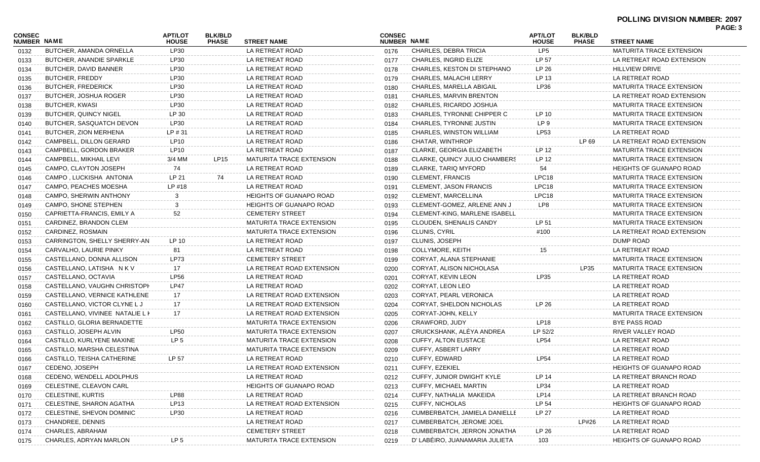# **POLLING DIVISION NUMBER: 2097**

| CONSEC<br><b>NUMBER NAME</b> |                                 | <b>APT/LOT</b><br><b>HOUSE</b> | <b>BLK/BLD</b><br><b>PHASE</b> | <b>STREET NAME</b>              | <b>CONSEC</b><br>NUMBER NAME |                                      | <b>APT/LOT</b><br><b>HOUSE</b> | <b>BLK/BLD</b><br><b>PHASE</b> | <b>STREET NAME</b>              | PAGE: 3 |
|------------------------------|---------------------------------|--------------------------------|--------------------------------|---------------------------------|------------------------------|--------------------------------------|--------------------------------|--------------------------------|---------------------------------|---------|
| 0132                         | BUTCHER, AMANDA ORNELLA         | LP30                           |                                | LA RETREAT ROAD                 | 0176                         | CHARLES, DEBRA TRICIA                | LP5                            |                                | <b>MATURITA TRACE EXTENSION</b> |         |
| 0133                         | BUTCHER, ANANDIE SPARKLE        | LP30                           |                                | LA RETREAT ROAD                 | 0177                         | CHARLES, INGRID ELIZE                | LP 57                          |                                | LA RETREAT ROAD EXTENSION       |         |
| 0134                         | BUTCHER, DAVID BANNER           | LP30                           |                                | LA RETREAT ROAD                 | 0178                         | CHARLES, KESTON DI STEPHANO          | LP 26                          |                                | <b>HILLVIEW DRIVE</b>           |         |
| 0135                         | BUTCHER, FREDDY                 | LP30                           |                                | LA RETREAT ROAD                 | 0179                         | CHARLES, MALACHI LERRY               | LP 13                          |                                | LA RETREAT ROAD                 |         |
| 0136                         | <b>BUTCHER, FREDERICK</b>       | LP30                           |                                | LA RETREAT ROAD                 | 0180                         | CHARLES, MARELLA ABIGAIL             | LP36                           |                                | <b>MATURITA TRACE EXTENSION</b> |         |
| 0137                         | BUTCHER, JOSHUA ROGER           | LP30                           |                                | LA RETREAT ROAD                 | 0181                         | CHARLES, MARVIN BRENTON              |                                |                                | LA RETREAT ROAD EXTENSION       |         |
| 0138                         | <b>BUTCHER, KWASI</b>           | LP30                           |                                | LA RETREAT ROAD                 | 0182                         | CHARLES, RICARDO JOSHUA              |                                |                                | <b>MATURITA TRACE EXTENSION</b> |         |
| 0139                         | <b>BUTCHER, QUINCY NIGEL</b>    | LP 30                          |                                | LA RETREAT ROAD                 | 0183                         | CHARLES, TYRONNE CHIPPER C           | LP 10                          |                                | MATURITA TRACE EXTENSION        |         |
| 0140                         | BUTCHER, SASQUATCH DEVON        | LP30                           |                                | LA RETREAT ROAD                 | 0184                         | CHARLES, TYRONNE JUSTIN              | LP 9                           |                                | <b>MATURITA TRACE EXTENSION</b> |         |
| 0141                         | BUTCHER, ZION MERHENA           | LP #31                         |                                | LA RETREAT ROAD                 | 0185                         | CHARLES, WINSTON WILLIAM             | LP53                           |                                | LA RETREAT ROAD                 |         |
| 0142                         | CAMPBELL, DILLON GERARD         | <b>LP10</b>                    |                                | LA RETREAT ROAD                 | 0186                         | CHATAR, WINTHROP                     |                                | LP 69                          | LA RETREAT ROAD EXTENSION       |         |
| 0143                         | CAMPBELL, GORDON BRAKER         | LP <sub>10</sub>               |                                | LA RETREAT ROAD                 | 0187                         | CLARKE, GEORGIA ELIZABETH            | LP 12                          |                                | <b>MATURITA TRACE EXTENSION</b> |         |
| 0144                         | CAMPBELL, MIKHAIL LEVI          | 3/4 MM                         | LP15                           | <b>MATURITA TRACE EXTENSION</b> | 0188                         | CLARKE, QUINCY JULIO CHAMBERS        | LP 12                          |                                | MATURITA TRACE EXTENSION        |         |
| 0145                         | CAMPO, CLAYTON JOSEPH           | 74                             |                                | LA RETREAT ROAD                 | 0189                         | CLARKE, TARIQ MYFORD                 | 54                             |                                | <b>HEIGHTS OF GUANAPO ROAD</b>  |         |
| 0146                         | CAMPO, LUCKISHA ANTONIA         | LP 21                          | 74                             | LA RETREAT ROAD                 | 0190                         | CLEMENT, FRANCIS                     | LPC18                          |                                | <b>MATURITA TRACE EXTENSION</b> |         |
| 0147                         | CAMPO, PEACHES MOESHA           | LP #18                         |                                | LA RETREAT ROAD                 | 0191                         | CLEMENT, JASON FRANCIS               | LPC18                          |                                | <b>MATURITA TRACE EXTENSION</b> |         |
| 0148                         | CAMPO, SHERWIN ANTHONY          | 3                              |                                | <b>HEIGHTS OF GUANAPO ROAD</b>  | 0192                         | CLEMENT, MARCELLINA                  | LPC18                          |                                | <b>MATURITA TRACE EXTENSION</b> |         |
| 0149                         | CAMPO, SHONE STEPHEN            | 3                              |                                | <b>HEIGHTS OF GUANAPO ROAD</b>  | 0193                         | CLEMENT-GOMEZ, ARLENE ANN J          | LP8                            |                                | <b>MATURITA TRACE EXTENSION</b> |         |
| 0150                         | CAPRIETTA-FRANCIS, EMILY A      | 52                             |                                | <b>CEMETERY STREET</b>          | 0194                         | <b>CLEMENT-KING, MARLENE ISABELL</b> |                                |                                | <b>MATURITA TRACE EXTENSION</b> |         |
| 0151                         | CARDINEZ, BRANDON CLEM          |                                |                                | <b>MATURITA TRACE EXTENSION</b> | 0195                         | CLOUDEN, SHENALIS CANDY              | LP 51                          |                                | <b>MATURITA TRACE EXTENSION</b> |         |
| 0152                         | CARDINEZ, ROSMAIN               |                                |                                | MATURITA TRACE EXTENSION        | 0196                         | CLUNIS, CYRIL                        | #100                           |                                | LA RETREAT ROAD EXTENSION       |         |
| 0153                         | CARRINGTON, SHELLY SHERRY-AN    | LP 10                          |                                | LA RETREAT ROAD                 | 0197                         | CLUNIS, JOSEPH                       |                                |                                | DUMP ROAD                       |         |
| 0154                         | CARVALHO, LAURIE PINKY          | 81                             |                                | LA RETREAT ROAD                 | 0198                         | COLLYMORE, KEITH                     | 15                             |                                | LA RETREAT ROAD                 |         |
| 0155                         | CASTELLANO, DONNA ALLISON       | <b>LP73</b>                    |                                | <b>CEMETERY STREET</b>          | 0199                         | CORYAT, ALANA STEPHANIE              |                                |                                | <b>MATURITA TRACE EXTENSION</b> |         |
| 0156                         | CASTELLANO, LATISHA N K V       | 17                             |                                | LA RETREAT ROAD EXTENSION       | 0200                         | CORYAT, ALISON NICHOLASA             |                                | LP35                           | <b>MATURITA TRACE EXTENSION</b> |         |
| 0157                         | CASTELLANO, OCTAVIA             | <b>LP56</b>                    |                                | LA RETREAT ROAD                 | 0201                         | CORYAT, KEVIN LEON                   | LP35                           |                                | LA RETREAT ROAD                 |         |
| 0158                         | CASTELLANO, VAUGHN CHRISTOPH    | <b>LP47</b>                    |                                | LA RETREAT ROAD                 | 0202                         | CORYAT, LEON LEO                     |                                |                                | LA RETREAT ROAD                 |         |
| 0159                         | CASTELLANO, VERNICE KATHLENE    | 17                             |                                | LA RETREAT ROAD EXTENSION       | 0203                         | CORYAT, PEARL VERONICA               |                                |                                | LA RETREAT ROAD                 |         |
| 0160                         | CASTELLANO, VICTOR CLYNE L J    | 17                             |                                | LA RETREAT ROAD EXTENSION       | 0204                         | CORYAT, SHELDON NICHOLAS             | LP 26                          |                                | LA RETREAT ROAD                 |         |
| 0161                         | CASTELLANO, VIVINEE NATALIE L P | 17                             |                                | LA RETREAT ROAD EXTENSION       | 0205                         | CORYAT-JOHN, KELLY                   |                                |                                | <b>MATURITA TRACE EXTENSION</b> |         |
| 0162                         | CASTILLO, GLORIA BERNADETTE     |                                |                                | <b>MATURITA TRACE EXTENSION</b> | 0206                         | CRAWFORD, JUDY                       | LP18                           |                                | <b>BYE PASS ROAD</b>            |         |
| 0163                         | CASTILLO, JOSEPH ALVIN          | <b>LP50</b>                    |                                | MATURITA TRACE EXTENSION        | 0207                         | CRUICKSHANK, ALÉYA ANDREA            | LP 52/2                        |                                | RIVER VALLEY ROAD               |         |
| 0164                         | CASTILLO, KURLYENE MAXINE       | LP 5                           |                                | MATURITA TRACE EXTENSION        | 0208                         | CUFFY, ALTON EUSTACE                 | <b>LP54</b>                    |                                | LA RETREAT ROAD                 |         |
| 0165                         | CASTILLO, MARSHA CELESTINA      |                                |                                | <b>MATURITA TRACE EXTENSION</b> | 0209                         | CUFFY, ASBERT LARRY                  |                                |                                | LA RETREAT ROAD                 |         |
| 0166                         | CASTILLO, TEISHA CATHERINE      | LP 57                          |                                | LA RETREAT ROAD                 | 0210                         | CUFFY, EDWARD                        | LP54                           |                                | LA RETREAT ROAD                 |         |
| 0167                         | CEDENO, JOSEPH                  |                                |                                | LA RETREAT ROAD EXTENSION       | 0211                         | CUFFY, EZEKIEL                       |                                |                                | <b>HEIGHTS OF GUANAPO ROAD</b>  |         |
| 0168                         | CEDENO, WENDELL ADOLPHUS        |                                |                                | LA RETREAT ROAD                 | 0212                         | CUFFY, JUNIOR DWIGHT KYLE            | LP 14                          |                                | LA RETREAT BRANCH ROAD          |         |
| 0169                         | CELESTINE, CLEAVON CARL         |                                |                                | <b>HEIGHTS OF GUANAPO ROAD</b>  | 0213                         | CUFFY, MICHAEL MARTIN                | LP34                           |                                | LA RETREAT ROAD                 |         |
| 0170                         | CELESTINE, KURTIS               | <b>LP88</b>                    |                                | LA RETREAT ROAD                 | 0214                         | CUFFY, NATHALIA MAKEIDA              | LP14                           |                                | LA RETREAT BRANCH ROAD          |         |
| 0171                         | CELESTINE, SHARON AGATHA        | LP13                           |                                | LA RETREAT ROAD EXTENSION       | 0215                         | <b>CUFFY, NICHOLAS</b>               | LP 54                          |                                | <b>HEIGHTS OF GUANAPO ROAD</b>  |         |
| 0172                         | CELESTINE, SHEVON DOMINIC       | LP30                           |                                | LA RETREAT ROAD                 | 0216                         | CUMBERBATCH, JAMIELA DANIELLE        | LP 27                          |                                | LA RETREAT ROAD                 |         |
| 0173                         | CHANDREE, DENNIS                |                                |                                | LA RETREAT ROAD                 | 0217                         | <b>CUMBERBATCH, JEROME JOEL</b>      |                                | LP#26                          | LA RETREAT ROAD                 |         |
| 0174                         | CHARLES, ABRAHAM                |                                |                                | <b>CEMETERY STREET</b>          | 0218                         | CUMBERBATCH, JERRON JONATHA          | LP 26                          |                                | LA RETREAT ROAD                 |         |
| 0175                         | CHARLES, ADRYAN MARLON          | LP 5                           |                                | MATURITA TRACE EXTENSION        | 0219                         | D' LABÉIRO, JUANAMARIA JULIETA       | 103                            |                                | <b>HEIGHTS OF GUANAPO ROAD</b>  |         |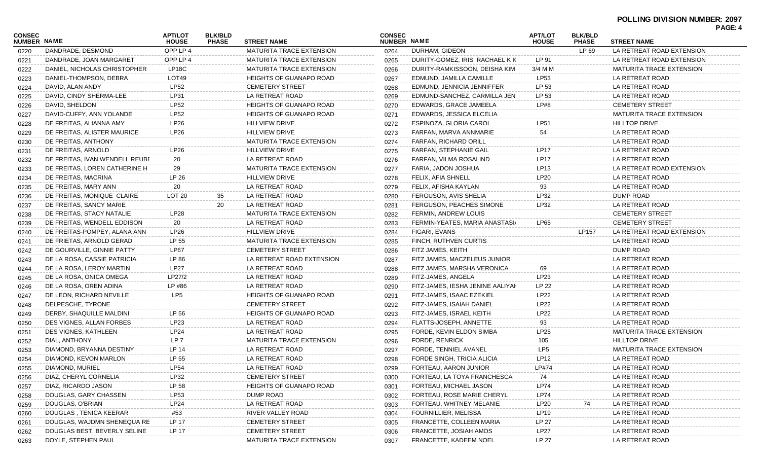| <b>CONSEC</b><br>NUMBER NAME |                                | <b>APT/LOT</b><br><b>HOUSE</b> | <b>BLK/BLD</b><br><b>PHASE</b> | <b>STREET NAME</b>              | <b>CONSEC</b><br><b>NUMBER NAME</b> |                                                    | <b>APT/LOT</b><br><b>HOUSE</b> | <b>BLK/BLD</b><br><b>PHASE</b> | <b>STREET NAME</b>                 | г A Э. — 1 |
|------------------------------|--------------------------------|--------------------------------|--------------------------------|---------------------------------|-------------------------------------|----------------------------------------------------|--------------------------------|--------------------------------|------------------------------------|------------|
| 0220                         | DANDRADE, DESMOND              | OPP LP 4                       |                                | MATURITA TRACE EXTENSION        | 0264                                | DURHAM, GIDEON                                     |                                | LP 69                          | LA RETREAT ROAD EXTENSION          |            |
| 0221                         | DANDRADE, JOAN MARGARET        | OPP LP 4                       |                                | <b>MATURITA TRACE EXTENSION</b> | 0265                                | DURITY-GOMEZ, IRIS RACHAEL K K                     | LP 91                          |                                | LA RETREAT ROAD EXTENSION          |            |
| 0222                         | DANIEL, NICHOLAS CHRISTOPHER   | LP18C                          |                                | <b>MATURITA TRACE EXTENSION</b> | 0266                                | DURITY-RAMKISSOON, DEISHA KIM                      | 3/4 M M                        |                                | MATURITA TRACE EXTENSION           |            |
| 0223                         | DANIEL-THOMPSON, DEBRA         | LOT49                          |                                | <b>HEIGHTS OF GUANAPO ROAD</b>  | 0267                                | EDMUND, JAMILLA CAMILLE                            | LP53                           |                                | LA RETREAT ROAD                    |            |
| 0224                         | DAVID, ALAN ANDY               | <b>LP52</b>                    |                                | <b>CEMETERY STREET</b>          | 0268                                | EDMUND, JENNICIA JENNIFFER                         | LP 53                          |                                | LA RETREAT ROAD                    |            |
| 0225                         | DAVID, CINDY SHERMA-LEE        | LP31                           |                                | LA RETREAT ROAD                 | 0269                                | EDMUND-SANCHEZ, CARMILLA JEN                       | LP 53                          |                                | LA RETREAT ROAD                    |            |
| 0226                         | DAVID, SHELDON                 | <b>LP52</b>                    |                                | <b>HEIGHTS OF GUANAPO ROAD</b>  | 0270                                | EDWARDS, GRACE JAMEELA                             | LP#8                           |                                | <b>CEMETERY STREET</b>             |            |
| 0227                         | DAVID-CUFFY, ANN YOLANDE       | <b>LP52</b>                    |                                | <b>HEIGHTS OF GUANAPO ROAD</b>  | 0271                                | EDWARDS, JESSICA ELCELIA                           |                                |                                | <b>MATURITA TRACE EXTENSION</b>    |            |
| 0228                         | DE FREITAS, ALIANNA AMY        | LP26                           |                                | <b>HILLVIEW DRIVE</b>           | 0272                                | ESPINOZA, GLORIA CAROL                             | LP51                           |                                | <b>HILLTOP DRIVE</b>               |            |
| 0229                         | DE FREITAS, ALISTER MAURICE    | LP26                           |                                | <b>HILLVIEW DRIVE</b>           | 0273                                | FARFAN, MARVA ANNMARIE                             | 54                             |                                | LA RETREAT ROAD                    |            |
| 0230                         | DE FREITAS, ANTHONY            |                                |                                | <b>MATURITA TRACE EXTENSION</b> | 0274                                | FARFAN, RICHARD ORILL                              |                                |                                | LA RETREAT ROAD                    |            |
| 0231                         | DE FREITAS, ARNOLD             | LP26                           |                                | <b>HILLVIEW DRIVE</b>           | 0275                                | FARFAN, STEPHANIE GAIL                             | <b>LP17</b>                    |                                | LA RETREAT ROAD                    |            |
| 0232                         | DE FREITAS, IVAN WENDELL REUBE | 20                             |                                | LA RETREAT ROAD                 | 0276                                | FARFAN, VILMA ROSALIND                             | <b>LP17</b>                    |                                | LA RETREAT ROAD                    |            |
| 0233                         | DE FREITAS, LOREN CATHERINE H  | 29                             |                                | <b>MATURITA TRACE EXTENSION</b> | 0277                                | FARIA, JADON JOSHUA                                | LP <sub>13</sub>               |                                | LA RETREAT ROAD EXTENSION          |            |
| 0234                         | DE FREITAS, MACRINA            | LP 26                          |                                | <b>HILLVIEW DRIVE</b>           | 0278                                | FELIX, AFIA SHNELL                                 | LP20                           |                                | LA RETREAT ROAD                    |            |
| 0235                         | DE FREITAS, MARY ANN           | 20                             |                                | LA RETREAT ROAD                 | 0279                                | FELIX, AFISHA KAYLAN                               | 93                             |                                | LA RETREAT ROAD                    |            |
| 0236                         | DE FREITAS, MONIQUE CLAIRE     | LOT 20                         | 35                             | LA RETREAT ROAD                 | 0280                                | FERGUSON, AVIS SHELIA                              | LP32                           |                                | DUMP ROAD                          |            |
| 0237                         | DE FREITAS, SANCY MARIE        |                                | 20                             | LA RETREAT ROAD                 | 0281                                | FERGUSON, PEACHES SIMONE                           | LP32                           |                                | LA RETREAT ROAD                    |            |
| 0238                         | DE FREITAS, STACY NATALIE      | <b>LP28</b>                    |                                | <b>MATURITA TRACE EXTENSION</b> | 0282                                | FERMIN, ANDREW LOUIS                               |                                |                                | <b>CEMETERY STREET</b>             |            |
| 0239                         | DE FREITAS, WENDELL EDDISON    | 20                             |                                | LA RETREAT ROAD                 | 0283                                | FERMIN-YEATES, MARIA ANASTASI/                     | LP65                           |                                | <b>CEMETERY STREET</b>             |            |
| 0240                         | DE FREITAS-POMPEY, ALANA ANN   | LP26                           |                                | <b>HILLVIEW DRIVE</b>           | 0284                                | FIGARI, EVANS                                      |                                | LP157                          | LA RETREAT ROAD EXTENSION          |            |
| 0241                         | DE FRIETAS, ARNOLD GERAD       | LP 55                          |                                | <b>MATURITA TRACE EXTENSION</b> | 0285                                | FINCH, RUTHVEN CURTIS                              |                                |                                | LA RETREAT ROAD                    |            |
| 0242                         | DE GOURVILLE, GINNIE PATTY     | LP67                           |                                | <b>CEMETERY STREET</b>          | 0286                                | FITZ JAMES, KEITH                                  |                                |                                | DUMP ROAD                          |            |
| 0243                         | DE LA ROSA, CASSIE PATRICIA    | LP 86                          |                                | LA RETREAT ROAD EXTENSION       | 0287                                | FITZ JAMES, MACZELEUS JUNIOR                       |                                |                                | LA RETREAT ROAD                    |            |
|                              | DE LA ROSA, LEROY MARTIN       | <b>LP27</b>                    |                                | LA RETREAT ROAD                 | 0288                                | FITZ JAMES, MARSHA VERONICA                        | 69                             |                                | LA RETREAT ROAD                    |            |
| 0244                         | DE LA ROSA, ONICA OMEGA        | LP27/2                         |                                | LA RETREAT ROAD                 |                                     | FITZ-JAMES, ANGELA                                 | LP23                           |                                | LA RETREAT ROAD                    |            |
| 0245                         | DE LA ROSA, OREN ADINA         | LP #86                         |                                | LA RETREAT ROAD                 | 0289                                | FITZ-JAMES, IESHA JENINE AALIYAH                   | LP 22                          |                                | LA RETREAT ROAD                    |            |
| 0246                         | DE LEON, RICHARD NEVILLE       | LP <sub>5</sub>                |                                | <b>HEIGHTS OF GUANAPO ROAD</b>  | 0290                                | FITZ-JAMES, ISAAC EZEKIEL                          | LP22                           |                                | LA RETREAT ROAD                    |            |
| 0247                         |                                |                                |                                | <b>CEMETERY STREET</b>          | 0291                                |                                                    |                                |                                |                                    |            |
| 0248                         | DELPESCHE, TYRONE              | LP 56                          |                                |                                 | 0292                                | FITZ-JAMES, ISAIAH DANIEL                          | LP22                           |                                | LA RETREAT ROAD                    |            |
| 0249                         | DERBY, SHAQUILLE MALDINI       | LP23                           |                                | <b>HEIGHTS OF GUANAPO ROAD</b>  | 0293                                | FITZ-JAMES, ISRAEL KEITH<br>FLATTS-JOSEPH, ANNETTE | LP22                           |                                | LA RETREAT ROAD<br>LA RETREAT ROAD |            |
| 0250                         | DES VIGNES, ALLAN FORBES       |                                |                                | LA RETREAT ROAD                 | 0294                                |                                                    | 93                             |                                | <b>MATURITA TRACE EXTENSION</b>    |            |
| 0251                         | DES VIGNES, KATHLEEN           | LP24                           |                                | LA RETREAT ROAD                 | 0295                                | FORDE, KEVIN ELDON SIMBA                           | LP25                           |                                |                                    |            |
| 0252                         | DIAL, ANTHONY                  | LP 7                           |                                | MATURITA TRACE EXTENSION        | 0296                                | <b>FORDE, RENRICK</b>                              | 105                            |                                | <b>HILLTOP DRIVE</b>               |            |
| 0253                         | DIAMOND, BRYANNA DESTINY       | LP 14                          |                                | LA RETREAT ROAD                 | 0297                                | FORDE, TENNIEL AVANEL                              | LP <sub>5</sub>                |                                | MATURITA TRACE EXTENSION           |            |
| 0254                         | DIAMOND, KEVON MARLON          | LP 55                          |                                | LA RETREAT ROAD                 | 0298                                | FORDE SINGH, TRICIA ALICIA                         | LP12                           |                                | LA RETREAT ROAD                    |            |
| 0255                         | DIAMOND, MURIEL                | <b>LP54</b>                    |                                | LA RETREAT ROAD                 | 0299                                | FORTEAU, AARON JUNIOR                              | LP#74                          |                                | LA RETREAT ROAD                    |            |
| 0256                         | DIAZ, CHERYL CORNELIA          | LP32                           |                                | <b>CEMETERY STREET</b>          | 0300                                | FORTEAU, LA TOYA FRANCHESCA                        | 74                             |                                | LA RETREAT ROAD                    |            |
| 0257                         | DIAZ, RICARDO JASON            | LP 58                          |                                | <b>HEIGHTS OF GUANAPO ROAD</b>  | 0301                                | FORTEAU, MICHAEL JASON                             | LP74                           |                                | LA RETREAT ROAD                    |            |
| 0258                         | DOUGLAS, GARY CHASSEN          | LP53                           |                                | DUMP ROAD                       | 0302                                | FORTEAU, ROSE MARIE CHERYL                         | LP74                           |                                | LA RETREAT ROAD                    |            |
| 0259                         | DOUGLAS, O'BRIAN               | LP24                           |                                | LA RETREAT ROAD                 | 0303                                | FORTEAU, WHITNEY MELANIE                           | LP <sub>20</sub>               | 74                             | LA RETREAT ROAD                    |            |
| 0260                         | DOUGLAS, TENICA KEERAR         | #53                            |                                | RIVER VALLEY ROAD               | 0304                                | FOURNILLIER, MELISSA                               | LP19                           |                                | LA RETREAT ROAD                    |            |
| 0261                         | DOUGLAS, WAJDMN SHENEQUA RE    | LP 17                          |                                | <b>CEMETERY STREET</b>          | 0305                                | FRANCETTE, COLLEEN MARIA                           | LP 27                          |                                | LA RETREAT ROAD                    |            |
| 0262                         | DOUGLAS BEST, BEVERLY SELINE   | LP 17                          |                                | <b>CEMETERY STREET</b>          | 0306                                | FRANCETTE, JOSIAH AMOS                             | <b>LP27</b>                    |                                | LA RETREAT ROAD                    |            |
| 0263                         | DOYLE, STEPHEN PAUL            |                                |                                | MATURITA TRACE EXTENSION        | 0307                                | FRANCETTE, KADEEM NOEL                             | LP 27                          |                                | LA RETREAT ROAD                    |            |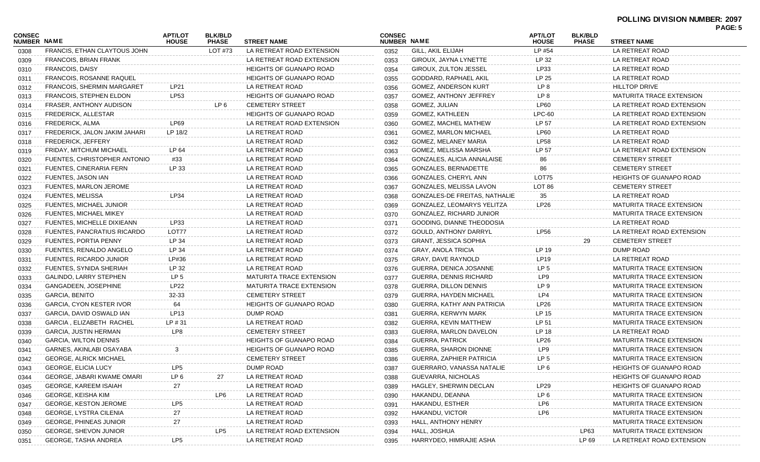| <b>CONSEC</b><br>NUMBER NAME |                                                      | <b>APT/LOT</b><br><b>HOUSE</b> | <b>BLK/BLD</b><br><b>PHASE</b> | <b>STREET NAME</b>                 | <b>CONSEC</b><br>NUMBER NAME |                                 | <b>APT/LOT</b><br><b>HOUSE</b> | <b>BLK/BLD</b><br><b>PHASE</b> | <b>STREET NAME</b>              | PAGE: 5 |
|------------------------------|------------------------------------------------------|--------------------------------|--------------------------------|------------------------------------|------------------------------|---------------------------------|--------------------------------|--------------------------------|---------------------------------|---------|
| 0308                         | FRANCIS, ETHAN CLAYTOUS JOHN                         |                                | LOT #73                        | LA RETREAT ROAD EXTENSION          | 0352                         | <b>GILL, AKIL ELIJAH</b>        | LP #54                         |                                | LA RETREAT ROAD                 |         |
| 0309                         | FRANCOIS, BRIAN FRANK                                |                                |                                | LA RETREAT ROAD EXTENSION          | 0353                         | GIROUX, JAYNA LYNETTE           | LP 32                          |                                | LA RETREAT ROAD                 |         |
| 0310                         | <b>FRANCOIS, DAISY</b>                               |                                |                                | <b>HEIGHTS OF GUANAPO ROAD</b>     | 0354                         | GIROUX, ZULTON JESSEL           | LP33                           |                                | LA RETREAT ROAD                 |         |
| 0311                         | <b>FRANCOIS, ROSANNE RAQUEL</b>                      |                                |                                | <b>HEIGHTS OF GUANAPO ROAD</b>     | 0355                         | GODDARD, RAPHAEL AKIL           | LP 25                          |                                | LA RETREAT ROAD                 |         |
| 0312                         | <b>FRANCOIS, SHERMIN MARGARET</b>                    | LP21                           |                                | LA RETREAT ROAD                    | 0356                         | GOMEZ, ANDERSON KURT            | LP 8                           |                                | <b>HILLTOP DRIVE</b>            |         |
| 0313                         | <b>FRANCOIS, STEPHEN ELDON</b>                       | LP53                           |                                | <b>HEIGHTS OF GUANAPO ROAD</b>     | 0357                         | <b>GOMEZ, ANTHONY JEFFREY</b>   | LP 8                           |                                | <b>MATURITA TRACE EXTENSION</b> |         |
| 0314                         | FRASER, ANTHONY AUDISON                              |                                | LP 6                           | <b>CEMETERY STREET</b>             | 0358                         | GOMEZ, JULIAN                   | LP60                           |                                | LA RETREAT ROAD EXTENSION       |         |
| 0315                         | <b>FREDERICK, ALLESTAR</b>                           |                                |                                | <b>HEIGHTS OF GUANAPO ROAD</b>     | 0359                         | <b>GOMEZ, KATHLEEN</b>          | $LPC-60$                       |                                | LA RETREAT ROAD EXTENSION       |         |
| 0316                         | FREDERICK, ALMA                                      | LP69                           |                                | LA RETREAT ROAD EXTENSION          | 0360                         | GOMEZ, MACHEL MATHEW            | LP 57                          |                                | LA RETREAT ROAD EXTENSION       |         |
| 0317                         | FREDERICK, JALON JAKIM JAHARI                        | LP 18/2                        |                                | LA RETREAT ROAD                    | 0361                         | <b>GOMEZ, MARLON MICHAEL</b>    | LP60                           |                                | LA RETREAT ROAD                 |         |
| 0318                         | FREDERICK, JEFFERY                                   |                                |                                | LA RETREAT ROAD                    | 0362                         | GOMEZ, MELANEY MARIA            | <b>LP58</b>                    |                                | LA RETREAT ROAD                 |         |
| 0319                         | FRIDAY, MITCHUM MICHAEL                              | LP 64                          |                                | LA RETREAT ROAD                    | 0363                         | GOMEZ, MELISSA MARSHA           | LP 57                          |                                | LA RETREAT ROAD EXTENSION       |         |
| 0320                         | FUENTES, CHRISTOPHER ANTONIO                         | #33                            |                                | LA RETREAT ROAD                    | 0364                         | GONZALES, ALICIA ANNALAISE      | 86                             |                                | <b>CEMETERY STREET</b>          |         |
| 0321                         | FUENTES, CINERARIA FERN                              | LP 33                          |                                | LA RETREAT ROAD                    | 0365                         | <b>GONZALES, BERNADETTE</b>     | 86                             |                                | <b>CEMETERY STREET</b>          |         |
| 0322                         | FUENTES, JASON IAN                                   |                                |                                | LA RETREAT ROAD                    | 0366                         | GONZALES, CHERYL ANN            | LOT75                          |                                | <b>HEIGHTS OF GUANAPO ROAD</b>  |         |
| 0323                         | FUENTES, MARLON JEROME                               |                                |                                | LA RETREAT ROAD                    | 0367                         | GONZALES, MELISSA LAVON         | LOT 86                         |                                | <b>CEMETERY STREET</b>          |         |
|                              | <b>FUENTES, MELISSA</b>                              | LP34                           |                                | LA RETREAT ROAD                    | 0368                         | GONZALES-DE FREITAS, NATHALIE   | 35                             |                                | LA RETREAT ROAD                 |         |
| 0324                         | FUENTES, MICHAEL JUNIOR                              |                                |                                | LA RETREAT ROAD                    | 0369                         | GONZALEZ, LEOMARYS YELITZA      | LP26                           |                                | <b>MATURITA TRACE EXTENSION</b> |         |
| 0325                         | <b>FUENTES, MICHAEL MIKEY</b>                        |                                |                                | LA RETREAT ROAD                    | 0370                         | GONZALEZ, RICHARD JUNIOR        |                                |                                | <b>MATURITA TRACE EXTENSION</b> |         |
| 0326                         |                                                      | LP33                           |                                | LA RETREAT ROAD                    |                              |                                 |                                |                                | LA RETREAT ROAD                 |         |
| 0327                         | FUENTES, MICHELLE DIXIEANN                           | LOT77                          |                                |                                    | 0371                         | GOODING, DIANNE THEODOSIA       | LP56                           |                                | LA RETREAT ROAD EXTENSION       |         |
| 0328                         | FUENTES, PANCRATIUS RICARDO<br>FUENTES, PORTIA PENNY |                                |                                | LA RETREAT ROAD<br>LA RETREAT ROAD | 0372                         | <b>GOULD, ANTHONY DARRYL</b>    |                                | 29                             | <b>CEMETERY STREET</b>          |         |
| 0329                         |                                                      | LP 34                          |                                |                                    | 0373                         | <b>GRANT, JESSICA SOPHIA</b>    |                                |                                |                                 |         |
| 0330                         | FUENTES, RENALDO ANGELO                              | LP 34                          |                                | LA RETREAT ROAD                    | 0374                         | <b>GRAY, ANOLA TRICIA</b>       | LP 19                          |                                | DUMP ROAD                       |         |
| 0331                         | FUENTES, RICARDO JUNIOR                              | LP#36                          |                                | LA RETREAT ROAD                    | 0375                         | GRAY, DAVE RAYNOLD              | LP19                           |                                | LA RETREAT ROAD                 |         |
| 0332                         | FUENTES, SYNIDA SHERIAH                              | LP 32                          |                                | LA RETREAT ROAD                    | 0376                         | GUERRA, DENICA JOSANNE          | LP <sub>5</sub>                |                                | <b>MATURITA TRACE EXTENSION</b> |         |
| 0333                         | GALINDO, LARRY STEPHEN                               | LP 5                           |                                | <b>MATURITA TRACE EXTENSION</b>    | 0377                         | GUERRA, DENNIS RICHARD          | LP9                            |                                | <b>MATURITA TRACE EXTENSION</b> |         |
| 0334                         | GANGADEEN, JOSEPHINE                                 | LP22                           |                                | <b>MATURITA TRACE EXTENSION</b>    | 0378                         | GUERRA, DILLON DENNIS           | LP 9                           |                                | <b>MATURITA TRACE EXTENSION</b> |         |
| 0335                         | <b>GARCIA, BENITO</b>                                | 32-33                          |                                | <b>CEMETERY STREET</b>             | 0379                         | <b>GUERRA, HAYDEN MICHAEL</b>   | LP4                            |                                | <b>MATURITA TRACE EXTENSION</b> |         |
| 0336                         | GARCIA, CYON KESTER IVOR                             | 64                             |                                | HEIGHTS OF GUANAPO ROAD            | 0380                         | GUERRA, KATHY ANN PATRICIA      | LP26                           |                                | <b>MATURITA TRACE EXTENSION</b> |         |
| 0337                         | GARCIA, DAVID OSWALD IAN                             | LP <sub>13</sub>               |                                | DUMP ROAD                          | 0381                         | GUERRA, KERWYN MARK             | LP 15                          |                                | <b>MATURITA TRACE EXTENSION</b> |         |
| 0338                         | GARCIA, ELIZABETH RACHEL                             | LP # 31                        |                                | LA RETREAT ROAD                    | 0382                         | GUERRA, KEVIN MATTHEW           | LP 51                          |                                | <b>MATURITA TRACE EXTENSION</b> |         |
| 0339                         | <b>GARCIA, JUSTIN HERMAN</b>                         | LP8                            |                                | <b>CEMETERY STREET</b>             | 0383                         | GUERRA, MARLON DAVELON          | LP 18                          |                                | LA RETREAT ROAD                 |         |
| 0340                         | <b>GARCIA, WILTON DENNIS</b>                         |                                |                                | <b>HEIGHTS OF GUANAPO ROAD</b>     | 0384                         | <b>GUERRA, PATRICK</b>          | LP26                           |                                | <b>MATURITA TRACE EXTENSION</b> |         |
| 0341                         | GARNES, AKINLABI OSAYABA                             | 3                              |                                | <b>HEIGHTS OF GUANAPO ROAD</b>     | 0385                         | GUERRA, SHARON DIONNE           | LP <sub>9</sub>                |                                | <b>MATURITA TRACE EXTENSION</b> |         |
| 0342                         | <b>GEORGE, ALRICK MICHAEL</b>                        |                                |                                | <b>CEMETERY STREET</b>             | 0386                         | <b>GUERRA, ZAPHIER PATRICIA</b> | LP 5                           |                                | <b>MATURITA TRACE EXTENSION</b> |         |
| 0343                         | <b>GEORGE, ELICIA LUCY</b>                           | LP5                            |                                | DUMP ROAD                          | 0387                         | GUERRARO, VANASSA NATALIE       | LP 6                           |                                | <b>HEIGHTS OF GUANAPO ROAD</b>  |         |
| 0344                         | GEORGE, JABARI KWAME OMARI                           | LP 6                           | 27                             | LA RETREAT ROAD                    | 0388                         | GUEVARRA, NICHOLAS              |                                |                                | <b>HEIGHTS OF GUANAPO ROAD</b>  |         |
| 0345                         | <b>GEORGE, KAREEM ISAIAH</b>                         | 27                             |                                | LA RETREAT ROAD                    | 0389                         | HAGLEY, SHERWIN DECLAN          | LP29                           |                                | <b>HEIGHTS OF GUANAPO ROAD</b>  |         |
| 0346                         | GEORGE, KEISHA KIM                                   |                                | LP6                            | LA RETREAT ROAD                    | 0390                         | HAKANDU, DEANNA                 | LP <sub>6</sub>                |                                | <b>MATURITA TRACE EXTENSION</b> |         |
| 0347                         | <b>GEORGE, KESTON JEROME</b>                         | LP5                            |                                | LA RETREAT ROAD                    | 0391                         | HAKANDU, ESTHER                 | LP6                            |                                | <b>MATURITA TRACE EXTENSION</b> |         |
| 0348                         | <b>GEORGE, LYSTRA CILENIA</b>                        | 27                             |                                | LA RETREAT ROAD                    | 0392                         | HAKANDU, VICTOR                 | LP6                            |                                | <b>MATURITA TRACE EXTENSION</b> |         |
| 0349                         | <b>GEORGE, PHINEAS JUNIOR</b>                        | 27                             |                                | LA RETREAT ROAD                    | 0393                         | HALL, ANTHONY HENRY             |                                |                                | <b>MATURITA TRACE EXTENSION</b> |         |
| 0350                         | GEORGE, SHEVON JUNIOR                                |                                | LP <sub>5</sub>                | LA RETREAT ROAD EXTENSION          | 0394                         | HALL, JOSHUA                    |                                | LP63                           | MATURITA TRACE EXTENSION        |         |
| 0351                         | GEORGE, TASHA ANDREA                                 | LP <sub>5</sub>                |                                | LA RETREAT ROAD                    | 0395                         | HARRYDEO, HIMRAJIE ASHA         |                                | LP 69                          | LA RETREAT ROAD EXTENSION       |         |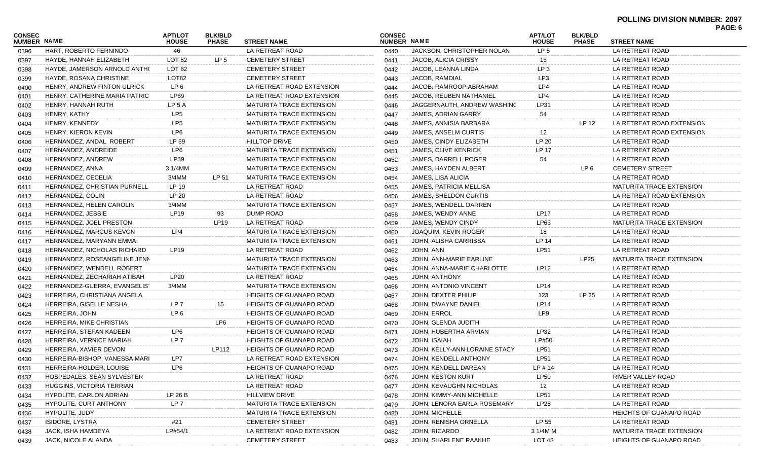|                              |                                     |                                |                                |                                 |                              |                                |                                |                                | PAGE: 6                         |  |
|------------------------------|-------------------------------------|--------------------------------|--------------------------------|---------------------------------|------------------------------|--------------------------------|--------------------------------|--------------------------------|---------------------------------|--|
| <b>CONSEC</b><br>NUMBER NAME |                                     | <b>APT/LOT</b><br><b>HOUSE</b> | <b>BLK/BLD</b><br><b>PHASE</b> | <b>STREET NAME</b>              | <b>CONSEC</b><br>NUMBER NAME |                                | <b>APT/LOT</b><br><b>HOUSE</b> | <b>BLK/BLD</b><br><b>PHASE</b> | <b>STREET NAME</b>              |  |
| 0396                         | HART, ROBERTO FERNINDO              | 46                             |                                | LA RETREAT ROAD                 | 0440                         | JACKSON, CHRISTOPHER NOLAN     | LP <sub>5</sub>                |                                | LA RETREAT ROAD                 |  |
| 0397                         | HAYDE, HANNAH ELIZABETH             | LOT 82                         | LP <sub>5</sub>                | <b>CEMETERY STREET</b>          | 0441                         | JACOB, ALICIA CRISSY           | 15                             |                                | LA RETREAT ROAD                 |  |
| 0398                         | HAYDE, JAMERSON ARNOLD ANTHO        | LOT 82                         |                                | <b>CEMETERY STREET</b>          | 0442                         | JACOB, LEANNA LINDA            | LP <sub>3</sub>                |                                | LA RETREAT ROAD                 |  |
| 0399                         | HAYDE, ROSANA CHRISTINE             | LOT82                          |                                | <b>CEMETERY STREET</b>          | 0443                         | JACOB, RAMDIAL                 | LP3                            |                                | LA RETREAT ROAD                 |  |
| 0400                         | HENRY, ANDREW FINTON ULRICK         | LP 6                           |                                | LA RETREAT ROAD EXTENSION       | 0444                         | JACOB, RAMROOP ABRAHAM         | LP4                            |                                | LA RETREAT ROAD                 |  |
| 0401                         | HENRY, CATHERINE MARIA PATRIC       | LP69                           |                                | LA RETREAT ROAD EXTENSION       | 0445                         | JACOB, REUBEN NATHANIEL        | LP4                            |                                | LA RETREAT ROAD                 |  |
| 0402                         | HENRY, HANNAH RUTH                  | LP 5 A                         |                                | <b>MATURITA TRACE EXTENSION</b> | 0446                         | JAGGERNAUTH, ANDREW WASHING    | LP31                           |                                | LA RETREAT ROAD                 |  |
| 0403                         | HENRY, KATHY                        | LP <sub>5</sub>                |                                | <b>MATURITA TRACE EXTENSION</b> | 0447                         | JAMES, ADRIAN GARRY            | 54                             |                                | LA RETREAT ROAD                 |  |
| 0404                         | HENRY, KENNEDY                      | LP <sub>5</sub>                |                                | <b>MATURITA TRACE EXTENSION</b> | 0448                         | JAMES, ANNISIA BARBARA         |                                | LP 12                          | LA RETREAT ROAD EXTENSION       |  |
| 0405                         | HENRY, KIERON KEVIN                 | LP6                            |                                | <b>MATURITA TRACE EXTENSION</b> | 0449                         | JAMES, ANSELM CURTIS           | 12                             |                                | LA RETREAT ROAD EXTENSION       |  |
| 0406                         | HERNANDEZ, ANDAL ROBERT             | LP 59                          |                                | <b>HILLTOP DRIVE</b>            | 0450                         | JAMES, CINDY ELIZABETH         | LP 20                          |                                | LA RETREAT ROAD                 |  |
| 0407                         | HERNANDEZ, ANDREIDE                 | LP6                            |                                | MATURITA TRACE EXTENSION        | 0451                         | <b>JAMES, CLIVE KENRICK</b>    | LP 17                          |                                | LA RETREAT ROAD                 |  |
| 0408                         | HERNANDEZ, ANDREW                   | LP59                           |                                | MATURITA TRACE EXTENSION        | 0452                         | JAMES, DARRELL ROGER           | 54                             |                                | LA RETREAT ROAD                 |  |
| 0409                         | HERNANDEZ, ANNA                     | 3 1/4MM                        |                                | MATURITA TRACE EXTENSION        | 0453                         | JAMES, HAYDEN ALBERT           |                                | LP 6                           | <b>CEMETERY STREET</b>          |  |
| 0410                         | HERNANDEZ, CECELIA                  | 3/4MM                          | LP 51                          | MATURITA TRACE EXTENSION        | 0454                         | JAMES, LISA ALICIA             |                                |                                | LA RETREAT ROAD                 |  |
| 0411                         | <b>HERNANDEZ, CHRISTIAN PURNELL</b> | LP 19                          |                                | LA RETREAT ROAD                 | 0455                         | <b>JAMES, PATRICIA MELLISA</b> |                                |                                | <b>MATURITA TRACE EXTENSION</b> |  |
| 0412                         | HERNANDEZ, COLIN                    | LP 20                          |                                | LA RETREAT ROAD                 | 0456                         | JAMES, SHELDON CURTIS          |                                |                                | LA RETREAT ROAD EXTENSION       |  |
| 0413                         | HERNANDEZ, HELEN CAROLIN            | 3/4MM                          |                                | <b>MATURITA TRACE EXTENSION</b> | 0457                         | JAMES. WENDELL DARREN          |                                |                                | LA RETREAT ROAD                 |  |
| 0414                         | HERNANDEZ, JESSIE                   | <b>LP19</b>                    | 93                             | DUMP ROAD                       | 0458                         | JAMES, WENDY ANNE              | <b>LP17</b>                    |                                | LA RETREAT ROAD                 |  |
| 0415                         | HERNANDEZ, JOEL PRESTON             |                                | LP19                           | LA RETREAT ROAD                 | 0459                         | JAMES, WENDY CINDY             | LP63                           |                                | <b>MATURITA TRACE EXTENSION</b> |  |
| 0416                         | HERNANDEZ, MARCUS KEVON             | LP4                            |                                | <b>MATURITA TRACE EXTENSION</b> | 0460                         | JOAQUIM, KEVIN ROGER           | 18                             |                                | LA RETREAT ROAD                 |  |
| 0417                         | HERNANDEZ, MARYANN EMMA             |                                |                                | <b>MATURITA TRACE EXTENSION</b> | 0461                         | JOHN, ALISHA CARRISSA          | LP 14                          |                                | LA RETREAT ROAD                 |  |
| 0418                         | HERNANDEZ, NICHOLAS RICHARD         | LP19                           |                                | LA RETREAT ROAD                 | 0462                         | JOHN, ANN                      | <b>LP51</b>                    |                                | LA RETREAT ROAD                 |  |
| 0419                         | HERNANDEZ, ROSEANGELINE JENN        |                                |                                | MATURITA TRACE EXTENSION        | 0463                         | JOHN, ANN-MARIE EARLINE        |                                | LP25                           | <b>MATURITA TRACE EXTENSION</b> |  |
| 0420                         | HERNANDEZ, WENDELL ROBERT           |                                |                                | MATURITA TRACE EXTENSION        | 0464                         | JOHN, ANNA-MARIE CHARLOTTE     | LP12                           |                                | LA RETREAT ROAD                 |  |
| 0421                         | HERNANDEZ, ZECHARIAH ATIBAH         | LP20                           |                                | LA RETREAT ROAD                 | 0465                         | JOHN, ANTHONY                  |                                |                                | LA RETREAT ROAD                 |  |
| 0422                         | HERNANDEZ-GUERRA, EVANGELIST        | $3/4$ MM                       |                                | MATURITA TRACE EXTENSION        | 0466                         | JOHN, ANTONIO VINCENT          | LP14                           |                                | LA RETREAT ROAD                 |  |
| 0423                         | HERREIRA, CHRISTIANA ANGELA         |                                |                                | <b>HEIGHTS OF GUANAPO ROAD</b>  | 0467                         | JOHN, DEXTER PHILIP            | 123                            | LP 25                          | LA RETREAT ROAD                 |  |
| 0424                         | HERREIRA, GISELLE NESHA             | LP 7                           | 15                             | <b>HEIGHTS OF GUANAPO ROAD</b>  | 0468                         | JOHN, DWAYNE DANIEL            | LP14                           |                                | LA RETREAT ROAD                 |  |
| 0425                         | HERREIRA, JOHN                      | LP 6                           |                                | <b>HEIGHTS OF GUANAPO ROAD</b>  | 0469                         | JOHN, ERROL                    | LP9                            |                                | LA RETREAT ROAD                 |  |
| 0426                         | HERREIRA, MIKE CHRISTIAN            |                                | LP6                            | HEIGHTS OF GUANAPO ROAD         | 0470                         | JOHN, GLENDA JUDITH            |                                |                                | LA RETREAT ROAD                 |  |
| 0427                         | HERREIRA, STEFAN KADEEN             | LP6                            |                                | <b>HEIGHTS OF GUANAPO ROAD</b>  | 0471                         | JOHN, HUBERTHA ARVIAN          | LP32                           |                                | LA RETREAT ROAD                 |  |
| 0428                         | HERREIRA, VERNICE MARIAH            | LP <sub>7</sub>                |                                | <b>HEIGHTS OF GUANAPO ROAD</b>  | 0472                         | JOHN, ISAIAH                   | LP#50                          |                                | LA RETREAT ROAD                 |  |
| 0429                         | HERREIRA, XAVIER DEVON              |                                | LP112                          | <b>HEIGHTS OF GUANAPO ROAD</b>  | 0473                         | JOHN, KELLY-ANN LORAINE STACY  | LP51                           |                                | LA RETREAT ROAD                 |  |
| 0430                         | HERREIRA-BISHOP, VANESSA MARI       | LP7                            |                                | LA RETREAT ROAD EXTENSION       | 0474                         | JOHN, KENDELL ANTHONY          | LP51                           |                                | LA RETREAT ROAD                 |  |
| 0431                         | HERREIRA-HOLDER, LOUISE             | LP6                            |                                | <b>HEIGHTS OF GUANAPO ROAD</b>  | 0475                         | JOHN, KENDELL DAREAN           | LP # 14                        |                                | LA RETREAT ROAD                 |  |
| 0432                         | HOSPEDALES, SEAN SYLVESTER          |                                |                                | LA RETREAT ROAD                 | 0476                         | JOHN, KESTON KURT              | <b>LP50</b>                    |                                | RIVER VALLEY ROAD               |  |
| 0433                         | HUGGINS, VICTORIA TERRIAN           |                                |                                | LA RETREAT ROAD                 | 0477                         | JOHN, KEVAUGHN NICHOLAS        | 12                             |                                | LA RETREAT ROAD                 |  |
| 0434                         | HYPOLITE, CARLON ADRIAN             | LP 26 B                        |                                | <b>HILLVIEW DRIVE</b>           | 0478                         | JOHN, KIMMY-ANN MICHELLE       | <b>LP51</b>                    |                                | LA RETREAT ROAD                 |  |
| 0435                         | HYPOLITE, CURT ANTHONY              | LP <sub>7</sub>                |                                | MATURITA TRACE EXTENSION        | 0479                         | JOHN, LENORA EARLA ROSEMARY    | LP25                           |                                | LA RETREAT ROAD                 |  |
| 0436                         | HYPOLITE, JUDY                      |                                |                                | MATURITA TRACE EXTENSION        | 0480                         | JOHN, MICHELLE                 |                                |                                | <b>HEIGHTS OF GUANAPO ROAD</b>  |  |
| 0437                         | <b>ISIDORE, LYSTRA</b>              | #21                            |                                | <b>CEMETERY STREET</b>          | 0481                         | JOHN, RENISHA ORNELLA          | LP 55                          |                                | LA RETREAT ROAD                 |  |
| 0438                         | JACK, ISHA HAMDEYA                  | LP#54/1                        |                                | LA RETREAT ROAD EXTENSION       | 0482                         | JOHN, RICARDO                  | 3 1/4M M                       |                                | <b>MATURITA TRACE EXTENSION</b> |  |
| 0439                         | JACK, NICOLE ALANDA                 |                                |                                | <b>CEMETERY STREET</b>          | 0483                         | JOHN, SHARLENE RAAKHE          | LOT <sub>48</sub>              |                                | <b>HEIGHTS OF GUANAPO ROAD</b>  |  |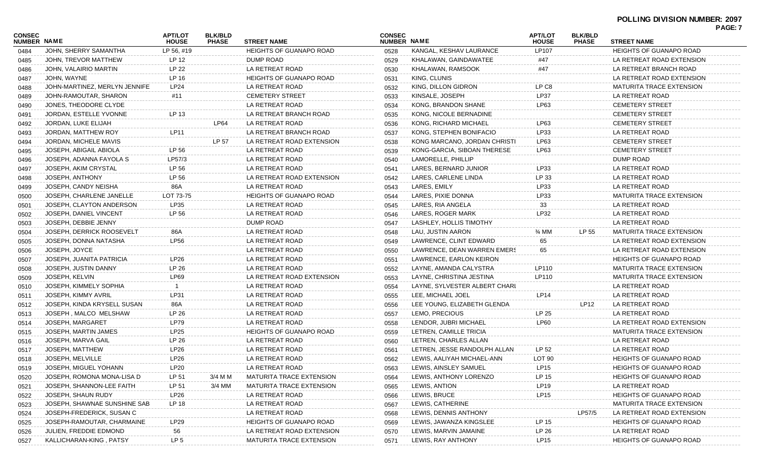| JOHN, SHERRY SAMANTHA<br>LP 56, #19<br><b>HEIGHTS OF GUANAPO ROAD</b><br>KANGAL, KESHAV LAURANCE<br>LP107<br><b>HEIGHTS OF GUANAPO ROAD</b><br>0484<br>0528<br>LP 12<br>DUMP ROAD<br>JOHN, TREVOR MATTHEW<br>KHALAWAN, GAINDAWATEE<br>LA RETREAT ROAD EXTENSION<br>0529<br>#47<br>0485<br>LP 22<br>JOHN, VALAIRIO MARTIN<br>LA RETREAT ROAD<br>KHALAWAN, RAMSOOK<br>#47<br>LA RETREAT BRANCH ROAD<br>0530<br>0486<br>JOHN, WAYNE<br>LP 16<br><b>HEIGHTS OF GUANAPO ROAD</b><br>KING, CLUNIS<br>LA RETREAT ROAD EXTENSION<br>0531<br>0487<br>KING, DILLON GIDRON<br>LP C8<br>JOHN-MARTINEZ, MERLYN JENNIFE<br>LP24<br>LA RETREAT ROAD<br><b>MATURITA TRACE EXTENSION</b><br>0532<br>0488<br>KINSALE, JOSEPH<br>LP37<br>JOHN-RAMOUTAR, SHARON<br>#11<br><b>CEMETERY STREET</b><br>LA RETREAT ROAD<br>0533<br>0489<br>LA RETREAT ROAD<br>KONG, BRANDON SHANE<br><b>CEMETERY STREET</b><br>JONES, THEODORE CLYDE<br>LP63<br>0534<br>0490<br>LP 13<br>JORDAN, ESTELLE YVONNE<br>LA RETREAT BRANCH ROAD<br>KONG, NICOLE BERNADINE<br><b>CEMETERY STREET</b><br>0535<br>0491<br>LA RETREAT ROAD<br>JORDAN, LUKE ELIJAH<br>LP64<br>KONG, RICHARD MICHAEL<br>LP63<br><b>CEMETERY STREET</b><br>0536<br>0492<br><b>LP11</b><br>JORDAN, MATTHEW ROY<br>LP33<br>LA RETREAT BRANCH ROAD<br>KONG, STEPHEN BONIFACIO<br>LA RETREAT ROAD<br>0537<br>0493<br>LP 57<br>JORDAN, MICHELE MAVIS<br>LA RETREAT ROAD EXTENSION<br>KONG MARCANO, JORDAN CHRISTI<br>LP63<br><b>CEMETERY STREET</b><br>0538<br>0494<br>LP 56<br>KONG-GARCIA, SIBOAN THERESE<br>JOSEPH, ABIGAIL ABIOLA<br>LA RETREAT ROAD<br>LP63<br><b>CEMETERY STREET</b><br>0539<br>0495<br>LP57/3<br>LAMORELLE, PHILLIP<br>DUMP ROAD<br>JOSEPH, ADANNA FAYOLA S<br>LA RETREAT ROAD<br>0540<br>0496<br>LP 56<br>LP33<br>JOSEPH, AKIM CRYSTAL<br>LA RETREAT ROAD<br>LARES, BERNARD JUNIOR<br>LA RETREAT ROAD<br>0541<br>0497<br>JOSEPH, ANTHONY<br>LP 56<br>LA RETREAT ROAD EXTENSION<br>LARES, CARLENE LINDA<br>LP 33<br>LA RETREAT ROAD<br>0542<br>0498<br>86A<br>LA RETREAT ROAD<br>LARES, EMILY<br>LP33<br>JOSEPH, CANDY NEISHA<br>LA RETREAT ROAD<br>0543<br>0499<br>LARES, PIXIE DONNA<br>LP33<br>JOSEPH, CHARLENE JANELLE<br>LOT 73-75<br><b>HEIGHTS OF GUANAPO ROAD</b><br><b>MATURITA TRACE EXTENSION</b><br>0544<br>0500<br><b>LP35</b><br>LA RETREAT ROAD<br>LARES, RIA ANGELA<br>LA RETREAT ROAD<br>JOSEPH. CLAYTON ANDERSON<br>33<br>0545<br>0501<br>LP 56<br>LP32<br>JOSEPH, DANIEL VINCENT<br>LA RETREAT ROAD<br>LARES, ROGER MARK<br>LA RETREAT ROAD<br>0546<br>0502<br>DUMP ROAD<br>JOSEPH, DEBBIE JENNY<br>LASHLEY, HOLLIS TIMOTHY<br>LA RETREAT ROAD<br>0547<br>0503<br>LA RETREAT ROAD<br>LAU, JUSTIN AARON<br>LP 55<br>JOSEPH, DERRICK ROOSEVELT<br>86A<br>$\frac{3}{4}$ MM<br><b>MATURITA TRACE EXTENSION</b><br>0548<br>0504<br><b>LP56</b><br>JOSEPH, DONNA NATASHA<br>LA RETREAT ROAD<br>LAWRENCE, CLINT EDWARD<br>65<br>LA RETREAT ROAD EXTENSION<br>0549<br>0505<br>JOSEPH, JOYCE<br>LA RETREAT ROAD<br>LAWRENCE, DEAN WARREN EMERS<br>LA RETREAT ROAD EXTENSION<br>0550<br>65<br>0506<br>LP26<br>LA RETREAT ROAD<br>JOSEPH, JUANITA PATRICIA<br>LAWRENCE, EARLON KEIRON<br><b>HEIGHTS OF GUANAPO ROAD</b><br>0551<br>0507<br>LP 26<br>JOSEPH, JUSTIN DANNY<br>LA RETREAT ROAD<br>LAYNE, AMANDA CALYSTRA<br>LP110<br><b>MATURITA TRACE EXTENSION</b><br>0552<br>0508<br>JOSEPH, KELVIN<br><b>LP69</b><br>LA RETREAT ROAD EXTENSION<br>LAYNE, CHRISTINA JESTINA<br>LP110<br><b>MATURITA TRACE EXTENSION</b><br>0553<br>0509<br>LA RETREAT ROAD<br>LA RETREAT ROAD<br>JOSEPH, KIMMELY SOPHIA<br>LAYNE, SYLVESTER ALBERT CHARL<br>0554<br>0510<br>LP31<br>LEE, MICHAEL JOEL<br><b>LP14</b><br>JOSEPH, KIMMY AVRIL<br>LA RETREAT ROAD<br>LA RETREAT ROAD<br>0555<br>0511<br>LA RETREAT ROAD<br>LEE YOUNG, ELIZABETH GLENDA<br>LP12<br>JOSEPH, KINDA KRYSELL SUSAN<br>86A<br>LA RETREAT ROAD<br>0556<br>0512<br>LP 26<br>LEMO, PRECIOUS<br>LP 25<br>JOSEPH, MALCO MELSHAW<br>LA RETREAT ROAD<br>LA RETREAT ROAD<br>0557<br>0513<br>JOSEPH, MARGARET<br><b>LP79</b><br>LA RETREAT ROAD<br>LENDOR, JUBRI MICHAEL<br>LP60<br>LA RETREAT ROAD EXTENSION<br>0558<br>0514<br>JOSEPH, MARTIN JAMES<br><b>LP25</b><br><b>HEIGHTS OF GUANAPO ROAD</b><br><b>MATURITA TRACE EXTENSION</b><br>LETREN, CAMILLE TRICIA<br>0559<br>0515<br>LP 26<br>JOSEPH, MARVA GAIL<br>LA RETREAT ROAD<br>LETREN, CHARLES ALLAN<br>LA RETREAT ROAD<br>0560<br>0516<br>JOSEPH, MATTHEW<br>LP26<br>LA RETREAT ROAD<br>LETREN. JESSE RANDOLPH ALLAN<br>LA RETREAT ROAD<br>LP 52<br>0561<br>0517<br>JOSEPH, MELVILLE<br>LP26<br>LA RETREAT ROAD<br>LOT <sub>90</sub><br><b>HEIGHTS OF GUANAPO ROAD</b><br>LEWIS, AALIYAH MICHAEL-ANN<br>0562<br>0518<br>JOSEPH, MIGUEL YOHANN<br>LA RETREAT ROAD<br>LEWIS, AINSLEY SAMUEL<br>HEIGHTS OF GUANAPO ROAD<br>LP20<br><b>LP15</b><br>0563<br>0519 | <b>CONSEC</b><br>NUMBER NAME | <b>APT/LOT</b><br><b>HOUSE</b> | <b>BLK/BLD</b><br><b>PHASE</b> | <b>STREET NAME</b> | <b>CONSEC</b><br><b>NUMBER NAME</b> | <b>APT/LOT</b><br><b>HOUSE</b> | <b>BLK/BLD</b><br><b>PHASE</b> | <b>STREET NAME</b> | <b>FAGE.</b> 1 |
|---------------------------------------------------------------------------------------------------------------------------------------------------------------------------------------------------------------------------------------------------------------------------------------------------------------------------------------------------------------------------------------------------------------------------------------------------------------------------------------------------------------------------------------------------------------------------------------------------------------------------------------------------------------------------------------------------------------------------------------------------------------------------------------------------------------------------------------------------------------------------------------------------------------------------------------------------------------------------------------------------------------------------------------------------------------------------------------------------------------------------------------------------------------------------------------------------------------------------------------------------------------------------------------------------------------------------------------------------------------------------------------------------------------------------------------------------------------------------------------------------------------------------------------------------------------------------------------------------------------------------------------------------------------------------------------------------------------------------------------------------------------------------------------------------------------------------------------------------------------------------------------------------------------------------------------------------------------------------------------------------------------------------------------------------------------------------------------------------------------------------------------------------------------------------------------------------------------------------------------------------------------------------------------------------------------------------------------------------------------------------------------------------------------------------------------------------------------------------------------------------------------------------------------------------------------------------------------------------------------------------------------------------------------------------------------------------------------------------------------------------------------------------------------------------------------------------------------------------------------------------------------------------------------------------------------------------------------------------------------------------------------------------------------------------------------------------------------------------------------------------------------------------------------------------------------------------------------------------------------------------------------------------------------------------------------------------------------------------------------------------------------------------------------------------------------------------------------------------------------------------------------------------------------------------------------------------------------------------------------------------------------------------------------------------------------------------------------------------------------------------------------------------------------------------------------------------------------------------------------------------------------------------------------------------------------------------------------------------------------------------------------------------------------------------------------------------------------------------------------------------------------------------------------------------------------------------------------------------------------------------------------------------------------------------------------------------------------------------------------------------------------------------------------------------------------------------------------------------------------------------------------------------------------------------------------------------------------------------------------------------------------------------------------------------------------------------------------------------------------------------------------------------------------------------------------------------|------------------------------|--------------------------------|--------------------------------|--------------------|-------------------------------------|--------------------------------|--------------------------------|--------------------|----------------|
|                                                                                                                                                                                                                                                                                                                                                                                                                                                                                                                                                                                                                                                                                                                                                                                                                                                                                                                                                                                                                                                                                                                                                                                                                                                                                                                                                                                                                                                                                                                                                                                                                                                                                                                                                                                                                                                                                                                                                                                                                                                                                                                                                                                                                                                                                                                                                                                                                                                                                                                                                                                                                                                                                                                                                                                                                                                                                                                                                                                                                                                                                                                                                                                                                                                                                                                                                                                                                                                                                                                                                                                                                                                                                                                                                                                                                                                                                                                                                                                                                                                                                                                                                                                                                                                                                                                                                                                                                                                                                                                                                                                                                                                                                                                                                                                                                           |                              |                                |                                |                    |                                     |                                |                                |                    |                |
|                                                                                                                                                                                                                                                                                                                                                                                                                                                                                                                                                                                                                                                                                                                                                                                                                                                                                                                                                                                                                                                                                                                                                                                                                                                                                                                                                                                                                                                                                                                                                                                                                                                                                                                                                                                                                                                                                                                                                                                                                                                                                                                                                                                                                                                                                                                                                                                                                                                                                                                                                                                                                                                                                                                                                                                                                                                                                                                                                                                                                                                                                                                                                                                                                                                                                                                                                                                                                                                                                                                                                                                                                                                                                                                                                                                                                                                                                                                                                                                                                                                                                                                                                                                                                                                                                                                                                                                                                                                                                                                                                                                                                                                                                                                                                                                                                           |                              |                                |                                |                    |                                     |                                |                                |                    |                |
|                                                                                                                                                                                                                                                                                                                                                                                                                                                                                                                                                                                                                                                                                                                                                                                                                                                                                                                                                                                                                                                                                                                                                                                                                                                                                                                                                                                                                                                                                                                                                                                                                                                                                                                                                                                                                                                                                                                                                                                                                                                                                                                                                                                                                                                                                                                                                                                                                                                                                                                                                                                                                                                                                                                                                                                                                                                                                                                                                                                                                                                                                                                                                                                                                                                                                                                                                                                                                                                                                                                                                                                                                                                                                                                                                                                                                                                                                                                                                                                                                                                                                                                                                                                                                                                                                                                                                                                                                                                                                                                                                                                                                                                                                                                                                                                                                           |                              |                                |                                |                    |                                     |                                |                                |                    |                |
|                                                                                                                                                                                                                                                                                                                                                                                                                                                                                                                                                                                                                                                                                                                                                                                                                                                                                                                                                                                                                                                                                                                                                                                                                                                                                                                                                                                                                                                                                                                                                                                                                                                                                                                                                                                                                                                                                                                                                                                                                                                                                                                                                                                                                                                                                                                                                                                                                                                                                                                                                                                                                                                                                                                                                                                                                                                                                                                                                                                                                                                                                                                                                                                                                                                                                                                                                                                                                                                                                                                                                                                                                                                                                                                                                                                                                                                                                                                                                                                                                                                                                                                                                                                                                                                                                                                                                                                                                                                                                                                                                                                                                                                                                                                                                                                                                           |                              |                                |                                |                    |                                     |                                |                                |                    |                |
|                                                                                                                                                                                                                                                                                                                                                                                                                                                                                                                                                                                                                                                                                                                                                                                                                                                                                                                                                                                                                                                                                                                                                                                                                                                                                                                                                                                                                                                                                                                                                                                                                                                                                                                                                                                                                                                                                                                                                                                                                                                                                                                                                                                                                                                                                                                                                                                                                                                                                                                                                                                                                                                                                                                                                                                                                                                                                                                                                                                                                                                                                                                                                                                                                                                                                                                                                                                                                                                                                                                                                                                                                                                                                                                                                                                                                                                                                                                                                                                                                                                                                                                                                                                                                                                                                                                                                                                                                                                                                                                                                                                                                                                                                                                                                                                                                           |                              |                                |                                |                    |                                     |                                |                                |                    |                |
|                                                                                                                                                                                                                                                                                                                                                                                                                                                                                                                                                                                                                                                                                                                                                                                                                                                                                                                                                                                                                                                                                                                                                                                                                                                                                                                                                                                                                                                                                                                                                                                                                                                                                                                                                                                                                                                                                                                                                                                                                                                                                                                                                                                                                                                                                                                                                                                                                                                                                                                                                                                                                                                                                                                                                                                                                                                                                                                                                                                                                                                                                                                                                                                                                                                                                                                                                                                                                                                                                                                                                                                                                                                                                                                                                                                                                                                                                                                                                                                                                                                                                                                                                                                                                                                                                                                                                                                                                                                                                                                                                                                                                                                                                                                                                                                                                           |                              |                                |                                |                    |                                     |                                |                                |                    |                |
|                                                                                                                                                                                                                                                                                                                                                                                                                                                                                                                                                                                                                                                                                                                                                                                                                                                                                                                                                                                                                                                                                                                                                                                                                                                                                                                                                                                                                                                                                                                                                                                                                                                                                                                                                                                                                                                                                                                                                                                                                                                                                                                                                                                                                                                                                                                                                                                                                                                                                                                                                                                                                                                                                                                                                                                                                                                                                                                                                                                                                                                                                                                                                                                                                                                                                                                                                                                                                                                                                                                                                                                                                                                                                                                                                                                                                                                                                                                                                                                                                                                                                                                                                                                                                                                                                                                                                                                                                                                                                                                                                                                                                                                                                                                                                                                                                           |                              |                                |                                |                    |                                     |                                |                                |                    |                |
|                                                                                                                                                                                                                                                                                                                                                                                                                                                                                                                                                                                                                                                                                                                                                                                                                                                                                                                                                                                                                                                                                                                                                                                                                                                                                                                                                                                                                                                                                                                                                                                                                                                                                                                                                                                                                                                                                                                                                                                                                                                                                                                                                                                                                                                                                                                                                                                                                                                                                                                                                                                                                                                                                                                                                                                                                                                                                                                                                                                                                                                                                                                                                                                                                                                                                                                                                                                                                                                                                                                                                                                                                                                                                                                                                                                                                                                                                                                                                                                                                                                                                                                                                                                                                                                                                                                                                                                                                                                                                                                                                                                                                                                                                                                                                                                                                           |                              |                                |                                |                    |                                     |                                |                                |                    |                |
|                                                                                                                                                                                                                                                                                                                                                                                                                                                                                                                                                                                                                                                                                                                                                                                                                                                                                                                                                                                                                                                                                                                                                                                                                                                                                                                                                                                                                                                                                                                                                                                                                                                                                                                                                                                                                                                                                                                                                                                                                                                                                                                                                                                                                                                                                                                                                                                                                                                                                                                                                                                                                                                                                                                                                                                                                                                                                                                                                                                                                                                                                                                                                                                                                                                                                                                                                                                                                                                                                                                                                                                                                                                                                                                                                                                                                                                                                                                                                                                                                                                                                                                                                                                                                                                                                                                                                                                                                                                                                                                                                                                                                                                                                                                                                                                                                           |                              |                                |                                |                    |                                     |                                |                                |                    |                |
|                                                                                                                                                                                                                                                                                                                                                                                                                                                                                                                                                                                                                                                                                                                                                                                                                                                                                                                                                                                                                                                                                                                                                                                                                                                                                                                                                                                                                                                                                                                                                                                                                                                                                                                                                                                                                                                                                                                                                                                                                                                                                                                                                                                                                                                                                                                                                                                                                                                                                                                                                                                                                                                                                                                                                                                                                                                                                                                                                                                                                                                                                                                                                                                                                                                                                                                                                                                                                                                                                                                                                                                                                                                                                                                                                                                                                                                                                                                                                                                                                                                                                                                                                                                                                                                                                                                                                                                                                                                                                                                                                                                                                                                                                                                                                                                                                           |                              |                                |                                |                    |                                     |                                |                                |                    |                |
|                                                                                                                                                                                                                                                                                                                                                                                                                                                                                                                                                                                                                                                                                                                                                                                                                                                                                                                                                                                                                                                                                                                                                                                                                                                                                                                                                                                                                                                                                                                                                                                                                                                                                                                                                                                                                                                                                                                                                                                                                                                                                                                                                                                                                                                                                                                                                                                                                                                                                                                                                                                                                                                                                                                                                                                                                                                                                                                                                                                                                                                                                                                                                                                                                                                                                                                                                                                                                                                                                                                                                                                                                                                                                                                                                                                                                                                                                                                                                                                                                                                                                                                                                                                                                                                                                                                                                                                                                                                                                                                                                                                                                                                                                                                                                                                                                           |                              |                                |                                |                    |                                     |                                |                                |                    |                |
|                                                                                                                                                                                                                                                                                                                                                                                                                                                                                                                                                                                                                                                                                                                                                                                                                                                                                                                                                                                                                                                                                                                                                                                                                                                                                                                                                                                                                                                                                                                                                                                                                                                                                                                                                                                                                                                                                                                                                                                                                                                                                                                                                                                                                                                                                                                                                                                                                                                                                                                                                                                                                                                                                                                                                                                                                                                                                                                                                                                                                                                                                                                                                                                                                                                                                                                                                                                                                                                                                                                                                                                                                                                                                                                                                                                                                                                                                                                                                                                                                                                                                                                                                                                                                                                                                                                                                                                                                                                                                                                                                                                                                                                                                                                                                                                                                           |                              |                                |                                |                    |                                     |                                |                                |                    |                |
|                                                                                                                                                                                                                                                                                                                                                                                                                                                                                                                                                                                                                                                                                                                                                                                                                                                                                                                                                                                                                                                                                                                                                                                                                                                                                                                                                                                                                                                                                                                                                                                                                                                                                                                                                                                                                                                                                                                                                                                                                                                                                                                                                                                                                                                                                                                                                                                                                                                                                                                                                                                                                                                                                                                                                                                                                                                                                                                                                                                                                                                                                                                                                                                                                                                                                                                                                                                                                                                                                                                                                                                                                                                                                                                                                                                                                                                                                                                                                                                                                                                                                                                                                                                                                                                                                                                                                                                                                                                                                                                                                                                                                                                                                                                                                                                                                           |                              |                                |                                |                    |                                     |                                |                                |                    |                |
|                                                                                                                                                                                                                                                                                                                                                                                                                                                                                                                                                                                                                                                                                                                                                                                                                                                                                                                                                                                                                                                                                                                                                                                                                                                                                                                                                                                                                                                                                                                                                                                                                                                                                                                                                                                                                                                                                                                                                                                                                                                                                                                                                                                                                                                                                                                                                                                                                                                                                                                                                                                                                                                                                                                                                                                                                                                                                                                                                                                                                                                                                                                                                                                                                                                                                                                                                                                                                                                                                                                                                                                                                                                                                                                                                                                                                                                                                                                                                                                                                                                                                                                                                                                                                                                                                                                                                                                                                                                                                                                                                                                                                                                                                                                                                                                                                           |                              |                                |                                |                    |                                     |                                |                                |                    |                |
|                                                                                                                                                                                                                                                                                                                                                                                                                                                                                                                                                                                                                                                                                                                                                                                                                                                                                                                                                                                                                                                                                                                                                                                                                                                                                                                                                                                                                                                                                                                                                                                                                                                                                                                                                                                                                                                                                                                                                                                                                                                                                                                                                                                                                                                                                                                                                                                                                                                                                                                                                                                                                                                                                                                                                                                                                                                                                                                                                                                                                                                                                                                                                                                                                                                                                                                                                                                                                                                                                                                                                                                                                                                                                                                                                                                                                                                                                                                                                                                                                                                                                                                                                                                                                                                                                                                                                                                                                                                                                                                                                                                                                                                                                                                                                                                                                           |                              |                                |                                |                    |                                     |                                |                                |                    |                |
|                                                                                                                                                                                                                                                                                                                                                                                                                                                                                                                                                                                                                                                                                                                                                                                                                                                                                                                                                                                                                                                                                                                                                                                                                                                                                                                                                                                                                                                                                                                                                                                                                                                                                                                                                                                                                                                                                                                                                                                                                                                                                                                                                                                                                                                                                                                                                                                                                                                                                                                                                                                                                                                                                                                                                                                                                                                                                                                                                                                                                                                                                                                                                                                                                                                                                                                                                                                                                                                                                                                                                                                                                                                                                                                                                                                                                                                                                                                                                                                                                                                                                                                                                                                                                                                                                                                                                                                                                                                                                                                                                                                                                                                                                                                                                                                                                           |                              |                                |                                |                    |                                     |                                |                                |                    |                |
|                                                                                                                                                                                                                                                                                                                                                                                                                                                                                                                                                                                                                                                                                                                                                                                                                                                                                                                                                                                                                                                                                                                                                                                                                                                                                                                                                                                                                                                                                                                                                                                                                                                                                                                                                                                                                                                                                                                                                                                                                                                                                                                                                                                                                                                                                                                                                                                                                                                                                                                                                                                                                                                                                                                                                                                                                                                                                                                                                                                                                                                                                                                                                                                                                                                                                                                                                                                                                                                                                                                                                                                                                                                                                                                                                                                                                                                                                                                                                                                                                                                                                                                                                                                                                                                                                                                                                                                                                                                                                                                                                                                                                                                                                                                                                                                                                           |                              |                                |                                |                    |                                     |                                |                                |                    |                |
|                                                                                                                                                                                                                                                                                                                                                                                                                                                                                                                                                                                                                                                                                                                                                                                                                                                                                                                                                                                                                                                                                                                                                                                                                                                                                                                                                                                                                                                                                                                                                                                                                                                                                                                                                                                                                                                                                                                                                                                                                                                                                                                                                                                                                                                                                                                                                                                                                                                                                                                                                                                                                                                                                                                                                                                                                                                                                                                                                                                                                                                                                                                                                                                                                                                                                                                                                                                                                                                                                                                                                                                                                                                                                                                                                                                                                                                                                                                                                                                                                                                                                                                                                                                                                                                                                                                                                                                                                                                                                                                                                                                                                                                                                                                                                                                                                           |                              |                                |                                |                    |                                     |                                |                                |                    |                |
|                                                                                                                                                                                                                                                                                                                                                                                                                                                                                                                                                                                                                                                                                                                                                                                                                                                                                                                                                                                                                                                                                                                                                                                                                                                                                                                                                                                                                                                                                                                                                                                                                                                                                                                                                                                                                                                                                                                                                                                                                                                                                                                                                                                                                                                                                                                                                                                                                                                                                                                                                                                                                                                                                                                                                                                                                                                                                                                                                                                                                                                                                                                                                                                                                                                                                                                                                                                                                                                                                                                                                                                                                                                                                                                                                                                                                                                                                                                                                                                                                                                                                                                                                                                                                                                                                                                                                                                                                                                                                                                                                                                                                                                                                                                                                                                                                           |                              |                                |                                |                    |                                     |                                |                                |                    |                |
|                                                                                                                                                                                                                                                                                                                                                                                                                                                                                                                                                                                                                                                                                                                                                                                                                                                                                                                                                                                                                                                                                                                                                                                                                                                                                                                                                                                                                                                                                                                                                                                                                                                                                                                                                                                                                                                                                                                                                                                                                                                                                                                                                                                                                                                                                                                                                                                                                                                                                                                                                                                                                                                                                                                                                                                                                                                                                                                                                                                                                                                                                                                                                                                                                                                                                                                                                                                                                                                                                                                                                                                                                                                                                                                                                                                                                                                                                                                                                                                                                                                                                                                                                                                                                                                                                                                                                                                                                                                                                                                                                                                                                                                                                                                                                                                                                           |                              |                                |                                |                    |                                     |                                |                                |                    |                |
|                                                                                                                                                                                                                                                                                                                                                                                                                                                                                                                                                                                                                                                                                                                                                                                                                                                                                                                                                                                                                                                                                                                                                                                                                                                                                                                                                                                                                                                                                                                                                                                                                                                                                                                                                                                                                                                                                                                                                                                                                                                                                                                                                                                                                                                                                                                                                                                                                                                                                                                                                                                                                                                                                                                                                                                                                                                                                                                                                                                                                                                                                                                                                                                                                                                                                                                                                                                                                                                                                                                                                                                                                                                                                                                                                                                                                                                                                                                                                                                                                                                                                                                                                                                                                                                                                                                                                                                                                                                                                                                                                                                                                                                                                                                                                                                                                           |                              |                                |                                |                    |                                     |                                |                                |                    |                |
|                                                                                                                                                                                                                                                                                                                                                                                                                                                                                                                                                                                                                                                                                                                                                                                                                                                                                                                                                                                                                                                                                                                                                                                                                                                                                                                                                                                                                                                                                                                                                                                                                                                                                                                                                                                                                                                                                                                                                                                                                                                                                                                                                                                                                                                                                                                                                                                                                                                                                                                                                                                                                                                                                                                                                                                                                                                                                                                                                                                                                                                                                                                                                                                                                                                                                                                                                                                                                                                                                                                                                                                                                                                                                                                                                                                                                                                                                                                                                                                                                                                                                                                                                                                                                                                                                                                                                                                                                                                                                                                                                                                                                                                                                                                                                                                                                           |                              |                                |                                |                    |                                     |                                |                                |                    |                |
|                                                                                                                                                                                                                                                                                                                                                                                                                                                                                                                                                                                                                                                                                                                                                                                                                                                                                                                                                                                                                                                                                                                                                                                                                                                                                                                                                                                                                                                                                                                                                                                                                                                                                                                                                                                                                                                                                                                                                                                                                                                                                                                                                                                                                                                                                                                                                                                                                                                                                                                                                                                                                                                                                                                                                                                                                                                                                                                                                                                                                                                                                                                                                                                                                                                                                                                                                                                                                                                                                                                                                                                                                                                                                                                                                                                                                                                                                                                                                                                                                                                                                                                                                                                                                                                                                                                                                                                                                                                                                                                                                                                                                                                                                                                                                                                                                           |                              |                                |                                |                    |                                     |                                |                                |                    |                |
|                                                                                                                                                                                                                                                                                                                                                                                                                                                                                                                                                                                                                                                                                                                                                                                                                                                                                                                                                                                                                                                                                                                                                                                                                                                                                                                                                                                                                                                                                                                                                                                                                                                                                                                                                                                                                                                                                                                                                                                                                                                                                                                                                                                                                                                                                                                                                                                                                                                                                                                                                                                                                                                                                                                                                                                                                                                                                                                                                                                                                                                                                                                                                                                                                                                                                                                                                                                                                                                                                                                                                                                                                                                                                                                                                                                                                                                                                                                                                                                                                                                                                                                                                                                                                                                                                                                                                                                                                                                                                                                                                                                                                                                                                                                                                                                                                           |                              |                                |                                |                    |                                     |                                |                                |                    |                |
|                                                                                                                                                                                                                                                                                                                                                                                                                                                                                                                                                                                                                                                                                                                                                                                                                                                                                                                                                                                                                                                                                                                                                                                                                                                                                                                                                                                                                                                                                                                                                                                                                                                                                                                                                                                                                                                                                                                                                                                                                                                                                                                                                                                                                                                                                                                                                                                                                                                                                                                                                                                                                                                                                                                                                                                                                                                                                                                                                                                                                                                                                                                                                                                                                                                                                                                                                                                                                                                                                                                                                                                                                                                                                                                                                                                                                                                                                                                                                                                                                                                                                                                                                                                                                                                                                                                                                                                                                                                                                                                                                                                                                                                                                                                                                                                                                           |                              |                                |                                |                    |                                     |                                |                                |                    |                |
|                                                                                                                                                                                                                                                                                                                                                                                                                                                                                                                                                                                                                                                                                                                                                                                                                                                                                                                                                                                                                                                                                                                                                                                                                                                                                                                                                                                                                                                                                                                                                                                                                                                                                                                                                                                                                                                                                                                                                                                                                                                                                                                                                                                                                                                                                                                                                                                                                                                                                                                                                                                                                                                                                                                                                                                                                                                                                                                                                                                                                                                                                                                                                                                                                                                                                                                                                                                                                                                                                                                                                                                                                                                                                                                                                                                                                                                                                                                                                                                                                                                                                                                                                                                                                                                                                                                                                                                                                                                                                                                                                                                                                                                                                                                                                                                                                           |                              |                                |                                |                    |                                     |                                |                                |                    |                |
|                                                                                                                                                                                                                                                                                                                                                                                                                                                                                                                                                                                                                                                                                                                                                                                                                                                                                                                                                                                                                                                                                                                                                                                                                                                                                                                                                                                                                                                                                                                                                                                                                                                                                                                                                                                                                                                                                                                                                                                                                                                                                                                                                                                                                                                                                                                                                                                                                                                                                                                                                                                                                                                                                                                                                                                                                                                                                                                                                                                                                                                                                                                                                                                                                                                                                                                                                                                                                                                                                                                                                                                                                                                                                                                                                                                                                                                                                                                                                                                                                                                                                                                                                                                                                                                                                                                                                                                                                                                                                                                                                                                                                                                                                                                                                                                                                           |                              |                                |                                |                    |                                     |                                |                                |                    |                |
|                                                                                                                                                                                                                                                                                                                                                                                                                                                                                                                                                                                                                                                                                                                                                                                                                                                                                                                                                                                                                                                                                                                                                                                                                                                                                                                                                                                                                                                                                                                                                                                                                                                                                                                                                                                                                                                                                                                                                                                                                                                                                                                                                                                                                                                                                                                                                                                                                                                                                                                                                                                                                                                                                                                                                                                                                                                                                                                                                                                                                                                                                                                                                                                                                                                                                                                                                                                                                                                                                                                                                                                                                                                                                                                                                                                                                                                                                                                                                                                                                                                                                                                                                                                                                                                                                                                                                                                                                                                                                                                                                                                                                                                                                                                                                                                                                           |                              |                                |                                |                    |                                     |                                |                                |                    |                |
|                                                                                                                                                                                                                                                                                                                                                                                                                                                                                                                                                                                                                                                                                                                                                                                                                                                                                                                                                                                                                                                                                                                                                                                                                                                                                                                                                                                                                                                                                                                                                                                                                                                                                                                                                                                                                                                                                                                                                                                                                                                                                                                                                                                                                                                                                                                                                                                                                                                                                                                                                                                                                                                                                                                                                                                                                                                                                                                                                                                                                                                                                                                                                                                                                                                                                                                                                                                                                                                                                                                                                                                                                                                                                                                                                                                                                                                                                                                                                                                                                                                                                                                                                                                                                                                                                                                                                                                                                                                                                                                                                                                                                                                                                                                                                                                                                           |                              |                                |                                |                    |                                     |                                |                                |                    |                |
|                                                                                                                                                                                                                                                                                                                                                                                                                                                                                                                                                                                                                                                                                                                                                                                                                                                                                                                                                                                                                                                                                                                                                                                                                                                                                                                                                                                                                                                                                                                                                                                                                                                                                                                                                                                                                                                                                                                                                                                                                                                                                                                                                                                                                                                                                                                                                                                                                                                                                                                                                                                                                                                                                                                                                                                                                                                                                                                                                                                                                                                                                                                                                                                                                                                                                                                                                                                                                                                                                                                                                                                                                                                                                                                                                                                                                                                                                                                                                                                                                                                                                                                                                                                                                                                                                                                                                                                                                                                                                                                                                                                                                                                                                                                                                                                                                           |                              |                                |                                |                    |                                     |                                |                                |                    |                |
|                                                                                                                                                                                                                                                                                                                                                                                                                                                                                                                                                                                                                                                                                                                                                                                                                                                                                                                                                                                                                                                                                                                                                                                                                                                                                                                                                                                                                                                                                                                                                                                                                                                                                                                                                                                                                                                                                                                                                                                                                                                                                                                                                                                                                                                                                                                                                                                                                                                                                                                                                                                                                                                                                                                                                                                                                                                                                                                                                                                                                                                                                                                                                                                                                                                                                                                                                                                                                                                                                                                                                                                                                                                                                                                                                                                                                                                                                                                                                                                                                                                                                                                                                                                                                                                                                                                                                                                                                                                                                                                                                                                                                                                                                                                                                                                                                           |                              |                                |                                |                    |                                     |                                |                                |                    |                |
|                                                                                                                                                                                                                                                                                                                                                                                                                                                                                                                                                                                                                                                                                                                                                                                                                                                                                                                                                                                                                                                                                                                                                                                                                                                                                                                                                                                                                                                                                                                                                                                                                                                                                                                                                                                                                                                                                                                                                                                                                                                                                                                                                                                                                                                                                                                                                                                                                                                                                                                                                                                                                                                                                                                                                                                                                                                                                                                                                                                                                                                                                                                                                                                                                                                                                                                                                                                                                                                                                                                                                                                                                                                                                                                                                                                                                                                                                                                                                                                                                                                                                                                                                                                                                                                                                                                                                                                                                                                                                                                                                                                                                                                                                                                                                                                                                           |                              |                                |                                |                    |                                     |                                |                                |                    |                |
|                                                                                                                                                                                                                                                                                                                                                                                                                                                                                                                                                                                                                                                                                                                                                                                                                                                                                                                                                                                                                                                                                                                                                                                                                                                                                                                                                                                                                                                                                                                                                                                                                                                                                                                                                                                                                                                                                                                                                                                                                                                                                                                                                                                                                                                                                                                                                                                                                                                                                                                                                                                                                                                                                                                                                                                                                                                                                                                                                                                                                                                                                                                                                                                                                                                                                                                                                                                                                                                                                                                                                                                                                                                                                                                                                                                                                                                                                                                                                                                                                                                                                                                                                                                                                                                                                                                                                                                                                                                                                                                                                                                                                                                                                                                                                                                                                           |                              |                                |                                |                    |                                     |                                |                                |                    |                |
|                                                                                                                                                                                                                                                                                                                                                                                                                                                                                                                                                                                                                                                                                                                                                                                                                                                                                                                                                                                                                                                                                                                                                                                                                                                                                                                                                                                                                                                                                                                                                                                                                                                                                                                                                                                                                                                                                                                                                                                                                                                                                                                                                                                                                                                                                                                                                                                                                                                                                                                                                                                                                                                                                                                                                                                                                                                                                                                                                                                                                                                                                                                                                                                                                                                                                                                                                                                                                                                                                                                                                                                                                                                                                                                                                                                                                                                                                                                                                                                                                                                                                                                                                                                                                                                                                                                                                                                                                                                                                                                                                                                                                                                                                                                                                                                                                           |                              |                                |                                |                    |                                     |                                |                                |                    |                |
|                                                                                                                                                                                                                                                                                                                                                                                                                                                                                                                                                                                                                                                                                                                                                                                                                                                                                                                                                                                                                                                                                                                                                                                                                                                                                                                                                                                                                                                                                                                                                                                                                                                                                                                                                                                                                                                                                                                                                                                                                                                                                                                                                                                                                                                                                                                                                                                                                                                                                                                                                                                                                                                                                                                                                                                                                                                                                                                                                                                                                                                                                                                                                                                                                                                                                                                                                                                                                                                                                                                                                                                                                                                                                                                                                                                                                                                                                                                                                                                                                                                                                                                                                                                                                                                                                                                                                                                                                                                                                                                                                                                                                                                                                                                                                                                                                           |                              |                                |                                |                    |                                     |                                |                                |                    |                |
|                                                                                                                                                                                                                                                                                                                                                                                                                                                                                                                                                                                                                                                                                                                                                                                                                                                                                                                                                                                                                                                                                                                                                                                                                                                                                                                                                                                                                                                                                                                                                                                                                                                                                                                                                                                                                                                                                                                                                                                                                                                                                                                                                                                                                                                                                                                                                                                                                                                                                                                                                                                                                                                                                                                                                                                                                                                                                                                                                                                                                                                                                                                                                                                                                                                                                                                                                                                                                                                                                                                                                                                                                                                                                                                                                                                                                                                                                                                                                                                                                                                                                                                                                                                                                                                                                                                                                                                                                                                                                                                                                                                                                                                                                                                                                                                                                           |                              |                                |                                |                    |                                     |                                |                                |                    |                |
| JOSEPH, ROMONA MONA-LISA D<br>LP 51<br>3/4 M M<br>MATURITA TRACE EXTENSION<br>LEWIS, ANTHONY LORENZO<br>LP 15<br><b>HEIGHTS OF GUANAPO ROAD</b><br>0520<br>0564                                                                                                                                                                                                                                                                                                                                                                                                                                                                                                                                                                                                                                                                                                                                                                                                                                                                                                                                                                                                                                                                                                                                                                                                                                                                                                                                                                                                                                                                                                                                                                                                                                                                                                                                                                                                                                                                                                                                                                                                                                                                                                                                                                                                                                                                                                                                                                                                                                                                                                                                                                                                                                                                                                                                                                                                                                                                                                                                                                                                                                                                                                                                                                                                                                                                                                                                                                                                                                                                                                                                                                                                                                                                                                                                                                                                                                                                                                                                                                                                                                                                                                                                                                                                                                                                                                                                                                                                                                                                                                                                                                                                                                                           |                              |                                |                                |                    |                                     |                                |                                |                    |                |
| LP19<br>JOSEPH, SHANNON-LEE FAITH<br>LP 51<br>3/4 MM<br>MATURITA TRACE EXTENSION<br>LEWIS, ANTION<br>LA RETREAT ROAD<br>0565<br>0521                                                                                                                                                                                                                                                                                                                                                                                                                                                                                                                                                                                                                                                                                                                                                                                                                                                                                                                                                                                                                                                                                                                                                                                                                                                                                                                                                                                                                                                                                                                                                                                                                                                                                                                                                                                                                                                                                                                                                                                                                                                                                                                                                                                                                                                                                                                                                                                                                                                                                                                                                                                                                                                                                                                                                                                                                                                                                                                                                                                                                                                                                                                                                                                                                                                                                                                                                                                                                                                                                                                                                                                                                                                                                                                                                                                                                                                                                                                                                                                                                                                                                                                                                                                                                                                                                                                                                                                                                                                                                                                                                                                                                                                                                      |                              |                                |                                |                    |                                     |                                |                                |                    |                |
| LEWIS, BRUCE<br>LP15<br>JOSEPH, SHAUN RUDY<br>LP26<br>LA RETREAT ROAD<br><b>HEIGHTS OF GUANAPO ROAD</b><br>0522<br>0566                                                                                                                                                                                                                                                                                                                                                                                                                                                                                                                                                                                                                                                                                                                                                                                                                                                                                                                                                                                                                                                                                                                                                                                                                                                                                                                                                                                                                                                                                                                                                                                                                                                                                                                                                                                                                                                                                                                                                                                                                                                                                                                                                                                                                                                                                                                                                                                                                                                                                                                                                                                                                                                                                                                                                                                                                                                                                                                                                                                                                                                                                                                                                                                                                                                                                                                                                                                                                                                                                                                                                                                                                                                                                                                                                                                                                                                                                                                                                                                                                                                                                                                                                                                                                                                                                                                                                                                                                                                                                                                                                                                                                                                                                                   |                              |                                |                                |                    |                                     |                                |                                |                    |                |
| LEWIS, CATHERINE<br>JOSEPH, SHAWNAE SUNSHINE SAB<br>LP 18<br>LA RETREAT ROAD<br><b>MATURITA TRACE EXTENSION</b><br>0567<br>0523                                                                                                                                                                                                                                                                                                                                                                                                                                                                                                                                                                                                                                                                                                                                                                                                                                                                                                                                                                                                                                                                                                                                                                                                                                                                                                                                                                                                                                                                                                                                                                                                                                                                                                                                                                                                                                                                                                                                                                                                                                                                                                                                                                                                                                                                                                                                                                                                                                                                                                                                                                                                                                                                                                                                                                                                                                                                                                                                                                                                                                                                                                                                                                                                                                                                                                                                                                                                                                                                                                                                                                                                                                                                                                                                                                                                                                                                                                                                                                                                                                                                                                                                                                                                                                                                                                                                                                                                                                                                                                                                                                                                                                                                                           |                              |                                |                                |                    |                                     |                                |                                |                    |                |
| JOSEPH-FREDERICK, SUSAN C<br>LA RETREAT ROAD<br>LEWIS, DENNIS ANTHONY<br>LA RETREAT ROAD EXTENSION<br>LP57/5                                                                                                                                                                                                                                                                                                                                                                                                                                                                                                                                                                                                                                                                                                                                                                                                                                                                                                                                                                                                                                                                                                                                                                                                                                                                                                                                                                                                                                                                                                                                                                                                                                                                                                                                                                                                                                                                                                                                                                                                                                                                                                                                                                                                                                                                                                                                                                                                                                                                                                                                                                                                                                                                                                                                                                                                                                                                                                                                                                                                                                                                                                                                                                                                                                                                                                                                                                                                                                                                                                                                                                                                                                                                                                                                                                                                                                                                                                                                                                                                                                                                                                                                                                                                                                                                                                                                                                                                                                                                                                                                                                                                                                                                                                              |                              |                                |                                |                    |                                     |                                |                                |                    |                |
| 0568<br>0524<br>JOSEPH-RAMOUTAR, CHARMAINE<br>LP29<br><b>HEIGHTS OF GUANAPO ROAD</b><br>LEWIS, JAWANZA KINGSLEE<br>LP 15<br><b>HEIGHTS OF GUANAPO ROAD</b>                                                                                                                                                                                                                                                                                                                                                                                                                                                                                                                                                                                                                                                                                                                                                                                                                                                                                                                                                                                                                                                                                                                                                                                                                                                                                                                                                                                                                                                                                                                                                                                                                                                                                                                                                                                                                                                                                                                                                                                                                                                                                                                                                                                                                                                                                                                                                                                                                                                                                                                                                                                                                                                                                                                                                                                                                                                                                                                                                                                                                                                                                                                                                                                                                                                                                                                                                                                                                                                                                                                                                                                                                                                                                                                                                                                                                                                                                                                                                                                                                                                                                                                                                                                                                                                                                                                                                                                                                                                                                                                                                                                                                                                                |                              |                                |                                |                    |                                     |                                |                                |                    |                |
| 0525<br>0569<br>LP 26<br>JULIEN, FREDDIE EDMOND<br>56<br>LA RETREAT ROAD EXTENSION<br>LEWIS, MARVIN JAMAINE<br>LA RETREAT ROAD                                                                                                                                                                                                                                                                                                                                                                                                                                                                                                                                                                                                                                                                                                                                                                                                                                                                                                                                                                                                                                                                                                                                                                                                                                                                                                                                                                                                                                                                                                                                                                                                                                                                                                                                                                                                                                                                                                                                                                                                                                                                                                                                                                                                                                                                                                                                                                                                                                                                                                                                                                                                                                                                                                                                                                                                                                                                                                                                                                                                                                                                                                                                                                                                                                                                                                                                                                                                                                                                                                                                                                                                                                                                                                                                                                                                                                                                                                                                                                                                                                                                                                                                                                                                                                                                                                                                                                                                                                                                                                                                                                                                                                                                                            |                              |                                |                                |                    |                                     |                                |                                |                    |                |
| 0570<br>0526<br>KALLICHARAN-KING, PATSY<br>LP <sub>5</sub><br>MATURITA TRACE EXTENSION<br>LEWIS, RAY ANTHONY<br>LP15<br><b>HEIGHTS OF GUANAPO ROAD</b><br>0527<br>0571                                                                                                                                                                                                                                                                                                                                                                                                                                                                                                                                                                                                                                                                                                                                                                                                                                                                                                                                                                                                                                                                                                                                                                                                                                                                                                                                                                                                                                                                                                                                                                                                                                                                                                                                                                                                                                                                                                                                                                                                                                                                                                                                                                                                                                                                                                                                                                                                                                                                                                                                                                                                                                                                                                                                                                                                                                                                                                                                                                                                                                                                                                                                                                                                                                                                                                                                                                                                                                                                                                                                                                                                                                                                                                                                                                                                                                                                                                                                                                                                                                                                                                                                                                                                                                                                                                                                                                                                                                                                                                                                                                                                                                                    |                              |                                |                                |                    |                                     |                                |                                |                    |                |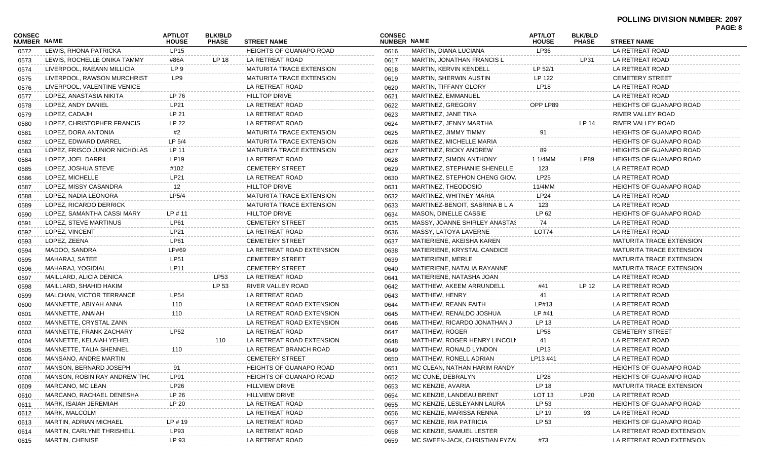| CONSEC<br><b>NUMBER NAME</b> |                               | <b>APT/LOT</b><br><b>HOUSE</b> | <b>BLK/BLD</b><br><b>PHASE</b> | <b>STREET NAME</b>              | <b>CONSEC</b><br>NUMBER NAME |                                | <b>APT/LOT</b><br><b>HOUSE</b> | <b>BLK/BLD</b><br><b>PHASE</b> | <b>STREET NAME</b>              | PAGE: 8 |
|------------------------------|-------------------------------|--------------------------------|--------------------------------|---------------------------------|------------------------------|--------------------------------|--------------------------------|--------------------------------|---------------------------------|---------|
| 0572                         | LEWIS, RHONA PATRICKA         | LP15                           |                                | <b>HEIGHTS OF GUANAPO ROAD</b>  | 0616                         | MARTIN, DIANA LUCIANA          | LP36                           |                                | LA RETREAT ROAD                 |         |
| 0573                         | LEWIS, ROCHELLE ONIKA TAMMY   | #86A                           | LP 18                          | LA RETREAT ROAD                 | 0617                         | MARTIN, JONATHAN FRANCIS L     |                                | LP31                           | LA RETREAT ROAD                 |         |
| 0574                         | LIVERPOOL, RAEANN MILLICIA    | LP 9                           |                                | <b>MATURITA TRACE EXTENSION</b> | 0618                         | <b>MARTIN, KERVIN KENDELL</b>  | LP 52/1                        |                                | LA RETREAT ROAD                 |         |
| 0575                         | LIVERPOOL, RAWSON MURCHRIST   | LP9                            |                                | <b>MATURITA TRACE EXTENSION</b> | 0619                         | <b>MARTIN, SHERWIN AUSTIN</b>  | LP 122                         |                                | <b>CEMETERY STREET</b>          |         |
| 0576                         | LIVERPOOL, VALENTINE VENICE   |                                |                                | LA RETREAT ROAD                 | 0620                         | MARTIN, TIFFANY GLORY          | LP <sub>18</sub>               |                                | LA RETREAT ROAD                 |         |
| 0577                         | LOPEZ, ANASTASIA NIKITA       | LP 76                          |                                | <b>HILLTOP DRIVE</b>            | 0621                         | MARTINEZ, EMMANUEL             |                                |                                | LA RETREAT ROAD                 |         |
| 0578                         | LOPEZ, ANDY DANIEL            | LP21                           |                                | LA RETREAT ROAD                 | 0622                         | MARTINEZ, GREGORY              | OPP LP89                       |                                | <b>HEIGHTS OF GUANAPO ROAD</b>  |         |
| 0579                         | LOPEZ, CADAJH                 | LP 21                          |                                | LA RETREAT ROAD                 | 0623                         | MARTINEZ, JANE TINA            |                                |                                | RIVER VALLEY ROAD               |         |
| 0580                         | LOPEZ, CHRISTOPHER FRANCIS    | LP 22                          |                                | LA RETREAT ROAD                 | 0624                         | MARTINEZ, JENNY MARTHA         |                                | LP 14                          | RIVER VALLEY ROAD               |         |
| 0581                         | LOPEZ, DORA ANTONIA           | #2                             |                                | <b>MATURITA TRACE EXTENSION</b> | 0625                         | MARTINEZ, JIMMY TIMMY          | 91                             |                                | <b>HEIGHTS OF GUANAPO ROAD</b>  |         |
| 0582                         | LOPEZ, EDWARD DARREL          | LP 5/4                         |                                | <b>MATURITA TRACE EXTENSION</b> | 0626                         | MARTINEZ, MICHELLE MARIA       |                                |                                | <b>HEIGHTS OF GUANAPO ROAD</b>  |         |
| 0583                         | LOPEZ, FRISCO JUNIOR NICHOLAS | LP 11                          |                                | <b>MATURITA TRACE EXTENSION</b> | 0627                         | MARTINEZ, RICKY ANDREW         | 89                             |                                | <b>HEIGHTS OF GUANAPO ROAD</b>  |         |
| 0584                         | LOPEZ, JOEL DARRIL            | LP19                           |                                | LA RETREAT ROAD                 | 0628                         | MARTINEZ, SIMON ANTHONY        | 1 1/4MM                        | <b>LP89</b>                    | <b>HEIGHTS OF GUANAPO ROAD</b>  |         |
| 0585                         | LOPEZ, JOSHUA STEVE           | #102                           |                                | <b>CEMETERY STREET</b>          | 0629                         | MARTINEZ, STEPHANIE SHENELLE   | 123                            |                                | LA RETREAT ROAD                 |         |
| 0586                         | LOPEZ, MICHELLE               | LP21                           |                                | LA RETREAT ROAD                 | 0630                         | MARTINEZ, STEPHON CHENG GIOV.  | LP25                           |                                | LA RETREAT ROAD                 |         |
| 0587                         | LOPEZ, MISSY CASANDRA         | 12                             |                                | <b>HILLTOP DRIVE</b>            | 0631                         | MARTINEZ, THEODOSIO            | 11/4MM                         |                                | <b>HEIGHTS OF GUANAPO ROAD</b>  |         |
| 0588                         | LOPEZ, NADIA LEONORA          | LP5/4                          |                                | <b>MATURITA TRACE EXTENSION</b> | 0632                         | MARTINEZ, WHITNEY MARIA        | <b>LP24</b>                    |                                | LA RETREAT ROAD                 |         |
| 0589                         | LOPEZ, RICARDO DERRICK        |                                |                                | <b>MATURITA TRACE EXTENSION</b> | 0633                         | MARTINEZ-BENOIT, SABRINA B L A | 123                            |                                | LA RETREAT ROAD                 |         |
| 0590                         | LOPEZ, SAMANTHA CASSI MARY    | $LP \# 11$                     |                                | <b>HILLTOP DRIVE</b>            | 0634                         | <b>MASON, DINELLE CASSIE</b>   | LP 62                          |                                | <b>HEIGHTS OF GUANAPO ROAD</b>  |         |
| 0591                         | LOPEZ, STEVE MARTINUS         | LP61                           |                                | <b>CEMETERY STREET</b>          | 0635                         | MASSY, JOANNE SHIRLEY ANASTAS  | 74                             |                                | LA RETREAT ROAD                 |         |
| 0592                         | LOPEZ, VINCENT                | LP21                           |                                | LA RETREAT ROAD                 | 0636                         | MASSY, LATOYA LAVERNE          | LOT74                          |                                | LA RETREAT ROAD                 |         |
| 0593                         | LOPEZ, ZEENA                  | <b>LP61</b>                    |                                | <b>CEMETERY STREET</b>          | 0637                         | MATIERIENE, AKEISHA KAREN      |                                |                                | <b>MATURITA TRACE EXTENSION</b> |         |
| 0594                         | MADOO, SANDRA                 | LP#69                          |                                | LA RETREAT ROAD EXTENSION       | 0638                         | MATIERIENE, KRYSTAL CANDICE    |                                |                                | <b>MATURITA TRACE EXTENSION</b> |         |
| 0595                         | MAHARAJ, SATEE                | <b>LP51</b>                    |                                | <b>CEMETERY STREET</b>          | 0639                         | MATIERIENE, MERLE              |                                |                                | <b>MATURITA TRACE EXTENSION</b> |         |
| 0596                         | MAHARAJ, YOGIDIAL             | LP11                           |                                | <b>CEMETERY STREET</b>          | 0640                         | MATIERIENE, NATALIA RAYANNE    |                                |                                | <b>MATURITA TRACE EXTENSION</b> |         |
| 0597                         | MAILLARD, ALICIA DENICA       |                                | LP53                           | LA RETREAT ROAD                 | 0641                         | MATIERIENE, NATASHA JOAN       |                                |                                | LA RETREAT ROAD                 |         |
| 0598                         | MAILLARD, SHAHID HAKIM        |                                | LP 53                          | RIVER VALLEY ROAD               | 0642                         | MATTHEW, AKEEM ARRUNDELL       | #41                            | LP 12                          | LA RETREAT ROAD                 |         |
| 0599                         | MALCHAN, VICTOR TERRANCE      | <b>LP54</b>                    |                                | LA RETREAT ROAD                 | 0643                         | MATTHEW, HENRY                 | 41                             |                                | LA RETREAT ROAD                 |         |
| 0600                         | MANNETTE, ABIYAH ANNA         | 110                            |                                | LA RETREAT ROAD EXTENSION       | 0644                         | MATTHEW, REANN FAITH           | LP#13                          |                                | LA RETREAT ROAD                 |         |
| 0601                         | MANNETTE, ANAIAH              | 110                            |                                | LA RETREAT ROAD EXTENSION       | 0645                         | MATTHEW, RENALDO JOSHUA        | LP #41                         |                                | LA RETREAT ROAD                 |         |
| 0602                         | MANNETTE, CRYSTAL ZANN        |                                |                                | LA RETREAT ROAD EXTENSION       | 0646                         | MATTHEW, RICARDO JONATHAN J    | LP 13                          |                                | LA RETREAT ROAD                 |         |
| 0603                         | MANNETTE, FRANK ZACHARY       | <b>LP52</b>                    |                                | LA RETREAT ROAD                 | 0647                         | MATTHEW, ROGER                 | <b>LP58</b>                    |                                | <b>CEMETERY STREET</b>          |         |
| 0604                         | MANNETTE, KELAIAH YEHIEL      |                                | 110                            | LA RETREAT ROAD EXTENSION       | 0648                         | MATTHEW, ROGER HENRY LINCOLN   | 41                             |                                | LA RETREAT ROAD                 |         |
| 0605                         | MANNETTE, TALIA SHENNEL       | 110                            |                                | LA RETREAT BRANCH ROAD          | 0649                         | MATTHEW, RONALD LYNDON         | LP <sub>13</sub>               |                                | LA RETREAT ROAD                 |         |
| 0606                         | MANSANO, ANDRE MARTIN         |                                |                                | <b>CEMETERY STREET</b>          | 0650                         | MATTHEW, RONELL ADRIAN         | LP13 #41                       |                                | LA RETREAT ROAD                 |         |
| 0607                         | MANSON, BERNARD JOSEPH        | 91                             |                                | <b>HEIGHTS OF GUANAPO ROAD</b>  | 0651                         | MC CLEAN, NATHAN HARIM RANDY   |                                |                                | <b>HEIGHTS OF GUANAPO ROAD</b>  |         |
| 0608                         | MANSON, ROBIN RAY ANDREW THO  | <b>LP91</b>                    |                                | <b>HEIGHTS OF GUANAPO ROAD</b>  | 0652                         | MC CUNE, DEBRALYN              | <b>LP28</b>                    |                                | <b>HEIGHTS OF GUANAPO ROAD</b>  |         |
| 0609                         | MARCANO, MC LEAN              | LP26                           |                                | <b>HILLVIEW DRIVE</b>           | 0653                         | MC KENZIE, AVARIA              | LP 18                          |                                | <b>MATURITA TRACE EXTENSION</b> |         |
| 0610                         | MARCANO, RACHAEL DENESHA      | LP 26                          |                                | <b>HILLVIEW DRIVE</b>           | 0654                         | MC KENZIE, LANDEAU BRENT       | <b>LOT 13</b>                  | LP20                           | LA RETREAT ROAD                 |         |
| 0611                         | MARK, ISAIAH JEREMIAH         | LP 20                          |                                | LA RETREAT ROAD                 | 0655                         | MC KENZIE, LESLEYANN LAURA     | LP 53                          |                                | <b>HEIGHTS OF GUANAPO ROAD</b>  |         |
| 0612                         | MARK, MALCOLM                 |                                |                                | LA RETREAT ROAD                 | 0656                         | MC KENZIE, MARISSA RENNA       | LP 19                          | 93                             | LA RETREAT ROAD                 |         |
| 0613                         | <b>MARTIN, ADRIAN MICHAEL</b> | $LP$ # 19                      |                                | LA RETREAT ROAD                 | 0657                         | MC KENZIE, RIA PATRICIA        | LP 53                          |                                | <b>HEIGHTS OF GUANAPO ROAD</b>  |         |
| 0614                         | MARTIN, CARLYNE THRISHELL     | LP93                           |                                | LA RETREAT ROAD                 | 0658                         | MC KENZIE, SAMUEL LESTER       |                                |                                | LA RETREAT ROAD EXTENSION       |         |
| 0615                         | <b>MARTIN, CHENISE</b>        | LP 93                          |                                | LA RETREAT ROAD                 | 0659                         | MC SWEEN-JACK, CHRISTIAN FYZAI | #73                            |                                | LA RETREAT ROAD EXTENSION       |         |
|                              |                               |                                |                                |                                 |                              |                                |                                |                                |                                 |         |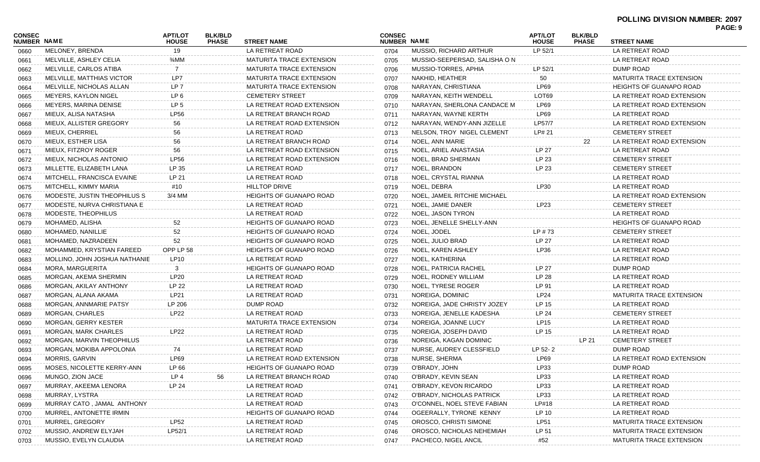#### **POLLING DIVISION NUMBER: 2097 PAGE: 9**

|                              |                               |                                |                                |                                 |                              |                               |                                |                                |                                 | <b>FAUL.</b> J |
|------------------------------|-------------------------------|--------------------------------|--------------------------------|---------------------------------|------------------------------|-------------------------------|--------------------------------|--------------------------------|---------------------------------|----------------|
| CONSEC<br><b>NUMBER NAME</b> |                               | <b>APT/LOT</b><br><b>HOUSE</b> | <b>BLK/BLD</b><br><b>PHASE</b> | <b>STREET NAME</b>              | <b>CONSEC</b><br>NUMBER NAME |                               | <b>APT/LOT</b><br><b>HOUSE</b> | <b>BLK/BLD</b><br><b>PHASE</b> | <b>STREET NAME</b>              |                |
| 0660                         | MELONEY, BRENDA               | 19                             |                                | LA RETREAT ROAD                 | 0704                         | MUSSIO, RICHARD ARTHUR        | LP 52/1                        |                                | LA RETREAT ROAD                 |                |
| 0661                         | MELVILLE, ASHLEY CELIA        | 3/ <sub>4</sub> MM             |                                | <b>MATURITA TRACE EXTENSION</b> | 0705                         | MUSSIO-SEEPERSAD, SALISHA O N |                                |                                | LA RETREAT ROAD                 |                |
| 0662                         | MELVILLE, CARLOS ATIBA        | 7                              |                                | <b>MATURITA TRACE EXTENSION</b> | 0706                         | MUSSIO-TORRES, APHIA          | LP 52/1                        |                                | DUMP ROAD                       |                |
| 0663                         | MELVILLE, MATTHIAS VICTOR     | LP7                            |                                | <b>MATURITA TRACE EXTENSION</b> | 0707                         | NAKHID, HEATHER               | 50                             |                                | <b>MATURITA TRACE EXTENSION</b> |                |
| 0664                         | MELVILLE, NICHOLAS ALLAN      | LP <sub>7</sub>                |                                | MATURITA TRACE EXTENSION        | 0708                         | NARAYAN, CHRISTIANA           | LP69                           |                                | <b>HEIGHTS OF GUANAPO ROAD</b>  |                |
| 0665                         | MEYERS, KAYLON NIGEL          | LP 6                           |                                | <b>CEMETERY STREET</b>          | 0709                         | NARAYAN, KEITH WENDELL        | LOT69                          |                                | LA RETREAT ROAD EXTENSION       |                |
| 0666                         | MEYERS, MARINA DENISE         | LP <sub>5</sub>                |                                | LA RETREAT ROAD EXTENSION       | 0710                         | NARAYAN, SHERLONA CANDACE M   | LP69                           |                                | LA RETREAT ROAD EXTENSION       |                |
| 0667                         | MIEUX, ALISA NATASHA          | <b>LP56</b>                    |                                | LA RETREAT BRANCH ROAD          | 0711                         | NARAYAN, WAYNE KERTH          | LP69                           |                                | LA RETREAT ROAD                 |                |
| 0668                         | MIEUX, ALLISTER GREGORY       | 56                             |                                | LA RETREAT ROAD EXTENSION       | 0712                         | NARAYAN, WENDY-ANN JIZELLE    | LP57/7                         |                                | LA RETREAT ROAD EXTENSION       |                |
| 0669                         | MIEUX, CHERRIEL               | 56                             |                                | LA RETREAT ROAD                 | 0713                         | NELSON, TROY NIGEL CLEMENT    | LP# 21                         |                                | <b>CEMETERY STREET</b>          |                |
| 0670                         | MIEUX, ESTHER LISA            | 56                             |                                | LA RETREAT BRANCH ROAD          | 0714                         | NOEL, ANN MARIE               |                                | 22                             | LA RETREAT ROAD EXTENSION       |                |
| 0671                         | MIEUX, FITZROY ROGER          | 56                             |                                | LA RETREAT ROAD EXTENSION       | 0715                         | NOEL, ARIEL ANASTASIA         | LP 27                          |                                | LA RETREAT ROAD                 |                |
| 0672                         | MIEUX, NICHOLAS ANTONIO       | <b>LP56</b>                    |                                | LA RETREAT ROAD EXTENSION       | 0716                         | NOEL, BRAD SHERMAN            | LP 23                          |                                | <b>CEMETERY STREET</b>          |                |
| 0673                         | MILLETTE, ELIZABETH LANA      | LP 35                          |                                | LA RETREAT ROAD                 | 0717                         | NOEL, BRANDON                 | LP 23                          |                                | <b>CEMETERY STREET</b>          |                |
| 0674                         | MITCHELL, FRANCISCA EVAINE    | LP 21                          |                                | LA RETREAT ROAD                 | 0718                         | NOEL, CRYSTAL RIANNA          |                                |                                | LA RETREAT ROAD                 |                |
| 0675                         | MITCHELL, KIMMY MARIA         | #10                            |                                | <b>HILLTOP DRIVE</b>            | 0719                         | NOEL, DEBRA                   | LP30                           |                                | LA RETREAT ROAD                 |                |
| 0676                         | MODESTE, JUSTIN THEOPHILUS S  | 3/4 MM                         |                                | <b>HEIGHTS OF GUANAPO ROAD</b>  | 0720                         | NOEL, JAMEIL RITCHIE MICHAEL  |                                |                                | LA RETREAT ROAD EXTENSION       |                |
| 0677                         | MODESTE, NURVA CHRISTIANA E   |                                |                                | LA RETREAT ROAD                 | 0721                         | NOEL, JAMIE DANER             | LP23                           |                                | <b>CEMETERY STREET</b>          |                |
| 0678                         | MODESTE, THEOPHILUS           |                                |                                | LA RETREAT ROAD                 | 0722                         | NOEL, JASON TYRON             |                                |                                | LA RETREAT ROAD                 |                |
| 0679                         | MOHAMED, ALISHA               | 52                             |                                | <b>HEIGHTS OF GUANAPO ROAD</b>  | 0723                         | NOEL, JENELLE SHELLY-ANN      |                                |                                | <b>HEIGHTS OF GUANAPO ROAD</b>  |                |
| 0680                         | MOHAMED, NANILLIE             | 52                             |                                | <b>HEIGHTS OF GUANAPO ROAD</b>  | 0724                         | NOEL, JODEL                   | $LP$ #73                       |                                | <b>CEMETERY STREET</b>          |                |
| 0681                         | MOHAMED, NAZRADEEN            | 52                             |                                | <b>HEIGHTS OF GUANAPO ROAD</b>  | 0725                         | NOEL, JULIO BRAD              | LP 27                          |                                | LA RETREAT ROAD                 |                |
| 0682                         | MOHAMMED, KRYSTIAN FAREED     | OPP LP 58                      |                                | <b>HEIGHTS OF GUANAPO ROAD</b>  | 0726                         | NOEL, KAREN ASHLEY            | LP36                           |                                | LA RETREAT ROAD                 |                |
| 0683                         | MOLLINO, JOHN JOSHUA NATHANIE | LP10                           |                                | LA RETREAT ROAD                 | 0727                         | NOEL, KATHERINA               |                                |                                | LA RETREAT ROAD                 |                |
| 0684                         | MORA, MARGUERITA              | 3                              |                                | <b>HEIGHTS OF GUANAPO ROAD</b>  | 0728                         | NOEL, PATRICIA RACHEL         | LP 27                          |                                | DUMP ROAD                       |                |
| 0685                         | MORGAN, AKEMA SHERMIN         | <b>LP20</b>                    |                                | LA RETREAT ROAD                 | 0729                         | NOEL, RODNEY WILLIAM          | LP 28                          |                                | LA RETREAT ROAD                 |                |
| 0686                         | MORGAN, AKILAY ANTHONY        | LP 22                          |                                | LA RETREAT ROAD                 | 0730                         | NOEL, TYRESE ROGER            | LP 91                          |                                | LA RETREAT ROAD                 |                |
| 0687                         | MORGAN, ALANA AKAMA           | LP21                           |                                | LA RETREAT ROAD                 | 0731                         | NOREIGA, DOMINIC              | LP24                           |                                | <b>MATURITA TRACE EXTENSION</b> |                |
| 0688                         | MORGAN, ANNMARIE PATSY        | LP 206                         |                                | DUMP ROAD                       | 0732                         | NOREIGA, JADE CHRISTY JOZEY   | LP 15                          |                                | LA RETREAT ROAD                 |                |
| 0689                         | MORGAN, CHARLES               | <b>LP22</b>                    |                                | LA RETREAT ROAD                 | 0733                         | NOREIGA, JENELLE KADESHA      | LP 24                          |                                | <b>CEMETERY STREET</b>          |                |
| 0690                         | MORGAN, GERRY KESTER          |                                |                                | <b>MATURITA TRACE EXTENSION</b> | 0734                         | NOREIGA, JOANNE LUCY          | LP15                           |                                | LA RETREAT ROAD                 |                |
| 0691                         | MORGAN, MARK CHARLES          | <b>LP22</b>                    |                                | LA RETREAT ROAD                 | 0735                         | NOREIGA, JOSEPH DAVID         | LP 15                          |                                | LA RETREAT ROAD                 |                |
| 0692                         | MORGAN, MARVIN THEOPHILUS     |                                |                                | LA RETREAT ROAD                 | 0736                         | NOREIGA, KAGAN DOMINIC        |                                | LP 21                          | <b>CEMETERY STREET</b>          |                |
| 0693                         | MORGAN, MOKIBA APPOLONIA      | 74                             |                                | LA RETREAT ROAD                 | 0737                         | NURSE, AUDREY CLESSFIELD      | LP 52-2                        |                                | DUMP ROAD                       |                |
| 0694                         | MORRIS, GARVIN                | LP69                           |                                | LA RETREAT ROAD EXTENSION       | 0738                         | NURSE, SHERMA                 | LP69                           |                                | LA RETREAT ROAD EXTENSION       |                |
| 0695                         | MOSES, NICOLETTE KERRY-ANN    | LP 66                          |                                | HEIGHTS OF GUANAPO ROAD         | 0739                         | O'BRADY, JOHN                 | LP33                           |                                | DUMP ROAD                       |                |
| 0696                         | MUNGO, ZION JACE              | LP 4                           | 56                             | LA RETREAT BRANCH ROAD          | 0740                         | O'BRADY, KEVIN SEAN           | LP33                           |                                | LA RETREAT ROAD                 |                |
| 0697                         | MURRAY, AKEEMA LENORA         | LP 24                          |                                | LA RETREAT ROAD                 | 0741                         | O'BRADY, KEVON RICARDO        | LP33                           |                                | LA RETREAT ROAD                 |                |
| 0698                         | MURRAY, LYSTRA                |                                |                                | LA RETREAT ROAD                 | 0742                         | O'BRADY, NICHOLAS PATRICK     | LP33                           |                                | LA RETREAT ROAD                 |                |
| 0699                         | MURRAY CATO, JAMAL ANTHONY    |                                |                                | LA RETREAT ROAD                 | 0743                         | O'CONNEL, NOEL STEVE FABIAN   | LP#18                          |                                | LA RETREAT ROAD                 |                |
| 0700                         | MURREL, ANTONETTE IRMIN       |                                |                                | <b>HEIGHTS OF GUANAPO ROAD</b>  | 0744                         | OGEERALLY, TYRONE KENNY       | LP 10                          |                                | LA RETREAT ROAD                 |                |
| 0701                         | MURREL, GREGORY               | LP52                           |                                | LA RETREAT ROAD                 | 0745                         | OROSCO, CHRISTI SIMONE        | LP51                           |                                | <b>MATURITA TRACE EXTENSION</b> |                |
| 0702                         | MUSSIO, ANDREW ELYJAH         | LP52/1                         |                                | LA RETREAT ROAD                 | 0746                         | OROSCO, NICHOLAS NEHEMIAH     | LP 51                          |                                | <b>MATURITA TRACE EXTENSION</b> |                |
| 0703                         | MUSSIO, EVELYN CLAUDIA        |                                |                                | LA RETREAT ROAD                 | 0747                         | PACHECO, NIGEL ANCIL          | #52                            |                                | <b>MATURITA TRACE EXTENSION</b> |                |
|                              |                               |                                |                                |                                 |                              |                               |                                |                                |                                 |                |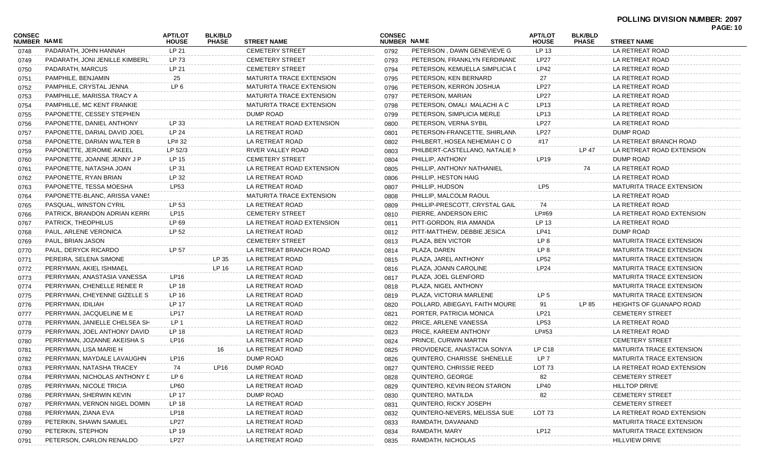# **POLLING DIVISION NUMBER: 2097**

| CONSEC<br><b>NUMBER NAME</b> |                                 | APT/LOT<br><b>HOUSE</b> | <b>BLK/BLD</b><br><b>PHASE</b> | <b>STREET NAME</b>              | <b>CONSEC</b><br><b>NUMBER NAME</b> |                                | APT/LOT<br><b>HOUSE</b> | <b>BLK/BLD</b><br><b>PHASE</b> | <b>STREET NAME</b>              | <b>PAGE: 10</b> |
|------------------------------|---------------------------------|-------------------------|--------------------------------|---------------------------------|-------------------------------------|--------------------------------|-------------------------|--------------------------------|---------------------------------|-----------------|
| 0748                         | PADARATH, JOHN HANNAH           | LP 21                   |                                | <b>CEMETERY STREET</b>          | 0792                                | PETERSON, DAWN GENEVIEVE G     | LP 13                   |                                | LA RETREAT ROAD                 |                 |
| 0749                         | PADARATH, JONI JENILLE KIMBERL' | LP 73                   |                                | <b>CEMETERY STREET</b>          | 0793                                | PETERSON, FRANKLYN FERDINAND   | <b>LP27</b>             |                                | LA RETREAT ROAD                 |                 |
| 0750                         | PADARATH, MARCUS                | LP 21                   |                                | <b>CEMETERY STREET</b>          | 0794                                | PETERSON, KEMUELLA SIMPLICIA L | LP42                    |                                | LA RETREAT ROAD                 |                 |
| 0751                         | PAMPHILE, BENJAMIN              | 25                      |                                | <b>MATURITA TRACE EXTENSION</b> | 0795                                | PETERSON, KEN BERNARD          | 27                      |                                | LA RETREAT ROAD                 |                 |
| 0752                         | PAMPHILE, CRYSTAL JENNA         | LP <sub>6</sub>         |                                | MATURITA TRACE EXTENSION        | 0796                                | PETERSON, KERRON JOSHUA        | <b>LP27</b>             |                                | LA RETREAT ROAD                 |                 |
| 0753                         | PAMPHILLE, MARISSA TRACY A      |                         |                                | MATURITA TRACE EXTENSION        | 0797                                | PETERSON, MARIAN               | <b>LP27</b>             |                                | LA RETREAT ROAD                 |                 |
| 0754                         | PAMPHILLE, MC KENT FRANKIE      |                         |                                | <b>MATURITA TRACE EXTENSION</b> | 0798                                | PETERSON, OMALI MALACHI A C    | LP13                    |                                | LA RETREAT ROAD                 |                 |
| 0755                         | PAPONETTE, CESSEY STEPHEN       |                         |                                | DUMP ROAD                       | 0799                                | PETERSON, SIMPLICIA MERLE      | LP13                    |                                | LA RETREAT ROAD                 |                 |
| 0756                         | PAPONETTE, DANIEL ANTHONY       | LP 33                   |                                | LA RETREAT ROAD EXTENSION       | 0800                                | PETERSON, VERNA SYBIL          | <b>LP27</b>             |                                | LA RETREAT ROAD                 |                 |
| 0757                         | PAPONETTE, DARIAL DAVID JOEL    | LP 24                   |                                | LA RETREAT ROAD                 | 0801                                | PETERSON-FRANCETTE, SHIRLANN   | <b>LP27</b>             |                                | DUMP ROAD                       |                 |
| 0758                         | PAPONETTE, DARIAN WALTER B      | LP# 32                  |                                | LA RETREAT ROAD                 | 0802                                | PHILBERT, HOSEA NEHEMIAH CO    | #17                     |                                | LA RETREAT BRANCH ROAD          |                 |
| 0759                         | PAPONETTE, JEROMIE AKEEL        | LP 52/3                 |                                | RIVER VALLEY ROAD               | 0803                                | PHILBERT-CASTELLANO, NATALIE N |                         | LP 47                          | LA RETREAT ROAD EXTENSION       |                 |
| 0760                         | PAPONETTE, JOANNE JENNY J P     | LP 15                   |                                | <b>CEMETERY STREET</b>          | 0804                                | PHILLIP, ANTHONY               | LP19                    |                                | DUMP ROAD                       |                 |
| 0761                         | PAPONETTE, NATASHA JOAN         | LP 31                   |                                | LA RETREAT ROAD EXTENSION       | 0805                                | PHILLIP, ANTHONY NATHANIEL     |                         | 74                             | LA RETREAT ROAD                 |                 |
| 0762                         | PAPONETTE, RYAN BRIAN           | LP 32                   |                                | LA RETREAT ROAD                 | 0806                                | PHILLIP, HESTON HAIG           |                         |                                | LA RETREAT ROAD                 |                 |
| 0763                         | PAPONETTE, TESSA MOESHA         | LP53                    |                                | LA RETREAT ROAD                 | 0807                                | PHILLIP, HUDSON                | LP5                     |                                | MATURITA TRACE EXTENSION        |                 |
| 0764                         | PAPONETTE-BLANC, ARISSA VANES   |                         |                                | <b>MATURITA TRACE EXTENSION</b> | 0808                                | PHILLIP, MALCOLM RAOUL         |                         |                                | LA RETREAT ROAD                 |                 |
| 0765                         | PASQUAL, WINSTON CYRIL          | LP 53                   |                                | LA RETREAT ROAD                 | 0809                                | PHILLIP-PRESCOTT, CRYSTAL GAIL | 74                      |                                | LA RETREAT ROAD                 |                 |
| 0766                         | PATRICK, BRANDON ADRIAN KERR(   | LP <sub>15</sub>        |                                | <b>CEMETERY STREET</b>          | 0810                                | PIERRE, ANDERSON ERIC          | LP#69                   |                                | LA RETREAT ROAD EXTENSION       |                 |
| 0767                         | PATRICK, THEOPHILUS             | LP 69                   |                                | LA RETREAT ROAD EXTENSION       | 0811                                | PITT-GORDON, RIA AMANDA        | LP 13                   |                                | LA RETREAT ROAD                 |                 |
| 0768                         | PAUL, ARLENE VERONICA           | LP 52                   |                                | LA RETREAT ROAD                 | 0812                                | PITT-MATTHEW, DEBBIE JESICA    | <b>LP41</b>             |                                | DUMP ROAD                       |                 |
| 0769                         | PAUL, BRIAN JASON               |                         |                                | <b>CEMETERY STREET</b>          | 0813                                | PLAZA, BEN VICTOR              | LP 8                    |                                | MATURITA TRACE EXTENSION        |                 |
| 0770                         | PAUL, DERYCK RICARDO            | LP 57                   |                                | LA RETREAT BRANCH ROAD          | 0814                                | PLAZA, DAREN                   | LP 8                    |                                | MATURITA TRACE EXTENSION        |                 |
| 0771                         | PEREIRA, SELENA SIMONE          |                         | LP 35                          | LA RETREAT ROAD                 | 0815                                | PLAZA, JAREL ANTHONY           | <b>LP52</b>             |                                | MATURITA TRACE EXTENSION        |                 |
| 0772                         | PERRYMAN, AKIEL ISHMAEL         |                         | LP 16                          | LA RETREAT ROAD                 | 0816                                | PLAZA, JOANN CAROLINE          | <b>LP24</b>             |                                | MATURITA TRACE EXTENSION        |                 |
| 0773                         | PERRYMAN, ANASTASIA VANESSA     | LP16                    |                                | LA RETREAT ROAD                 | 0817                                | PLAZA, JOEL GLENFORD           |                         |                                | MATURITA TRACE EXTENSION        |                 |
| 0774                         | PERRYMAN, CHENELLE RENEE R      | LP 18                   |                                | LA RETREAT ROAD                 | 0818                                | PLAZA, NIGEL ANTHONY           |                         |                                | MATURITA TRACE EXTENSION        |                 |
| 0775                         | PERRYMAN, CHEYENNE GIZELLE S    | LP 16                   |                                | LA RETREAT ROAD                 | 0819                                | PLAZA, VICTORIA MARLENE        | LP 5                    |                                | MATURITA TRACE EXTENSION        |                 |
| 0776                         | PERRYMAN, IDILIAH               | LP 17                   |                                | LA RETREAT ROAD                 | 0820                                | POLLARD, ABIEGAYL FAITH MOURE  | 91                      | LP 85                          | <b>HEIGHTS OF GUANAPO ROAD</b>  |                 |
| 0777                         | PERRYMAN, JACQUELINE M E        | <b>LP17</b>             |                                | LA RETREAT ROAD                 | 0821                                | PORTER, PATRICIA MONICA        | LP21                    |                                | <b>CEMETERY STREET</b>          |                 |
| 0778                         | PERRYMAN, JANIELLE CHELSEA SH   | LP 1                    |                                | LA RETREAT ROAD                 | 0822                                | PRICE, ARLENE VANESSA          | LP53                    |                                | LA RETREAT ROAD                 |                 |
| 0779                         | PERRYMAN, JOEL ANTHONY DAVID    | LP 18                   |                                | LA RETREAT ROAD                 | 0823                                | PRICE, KAREEM ANTHONY          | LP#53                   |                                | LA RETREAT ROAD                 |                 |
| 0780                         | PERRYMAN, JOZANNE AKEISHA S     | LP <sub>16</sub>        |                                | LA RETREAT ROAD                 | 0824                                | PRINCE, CURWIN MARTIN          |                         |                                | <b>CEMETERY STREET</b>          |                 |
| 0781                         | PERRYMAN, LISA MARIE H          |                         | 16                             | LA RETREAT ROAD                 | 0825                                | PROVIDENCE, ANASTACIA SONYA    | <b>LP C18</b>           |                                | MATURITA TRACE EXTENSION        |                 |
| 0782                         | PERRYMAN, MAYDALE LAVAUGHN      | LP16                    |                                | DUMP ROAD                       | 0826                                | QUINTERO, CHARISSE SHENELLE    | LP 7                    |                                | <b>MATURITA TRACE EXTENSION</b> |                 |
| 0783                         | PERRYMAN, NATASHA TRACEY        | 74                      | <b>LP16</b>                    | DUMP ROAD                       | 0827                                | QUINTERO, CHRISSIE REED        | LOT <sub>73</sub>       |                                | LA RETREAT ROAD EXTENSION       |                 |
| 0784                         | PERRYMAN, NICHOLAS ANTHONY D    | LP 6                    |                                | LA RETREAT ROAD                 | 0828                                | QUINTERO, GEORGE               | 82                      |                                | <b>CEMETERY STREET</b>          |                 |
| 0785                         | PERRYMAN, NICOLE TRICIA         | LP60                    |                                | LA RETREAT ROAD                 | 0829                                | QUINTERO, KEVIN REON STARON    | <b>LP40</b>             |                                | <b>HILLTOP DRIVE</b>            |                 |
| 0786                         | PERRYMAN, SHERWIN KEVIN         | LP 17                   |                                | DUMP ROAD                       | 0830                                | QUINTERO, MATILDA              | 82                      |                                | <b>CEMETERY STREET</b>          |                 |
| 0787                         | PERRYMAN, VERNON NIGEL DOMIN    | LP 18                   |                                | LA RETREAT ROAD                 | 0831                                | QUINTERO, RICKY JOSEPH         |                         |                                | <b>CEMETERY STREET</b>          |                 |
| 0788                         | PERRYMAN, ZIANA EVA             | LP18                    |                                | LA RETREAT ROAD                 | 0832                                | QUINTERO-NEVERS, MELISSA SUE   | LOT 73                  |                                | LA RETREAT ROAD EXTENSION       |                 |
| 0789                         | PETERKIN, SHAWN SAMUEL          | LP27                    |                                | LA RETREAT ROAD                 | 0833                                | RAMDATH, DAVANAND              |                         |                                | <b>MATURITA TRACE EXTENSION</b> |                 |
| 0790                         | PETERKIN, STEPHON               | LP 19                   |                                | LA RETREAT ROAD                 | 0834                                | RAMDATH, MARY                  | LP12                    |                                | MATURITA TRACE EXTENSION        |                 |
| 0791                         | PETERSON, CARLON RENALDO        | LP27                    |                                | LA RETREAT ROAD                 | 0835                                | RAMDATH, NICHOLAS              |                         |                                | <b>HILLVIEW DRIVE</b>           |                 |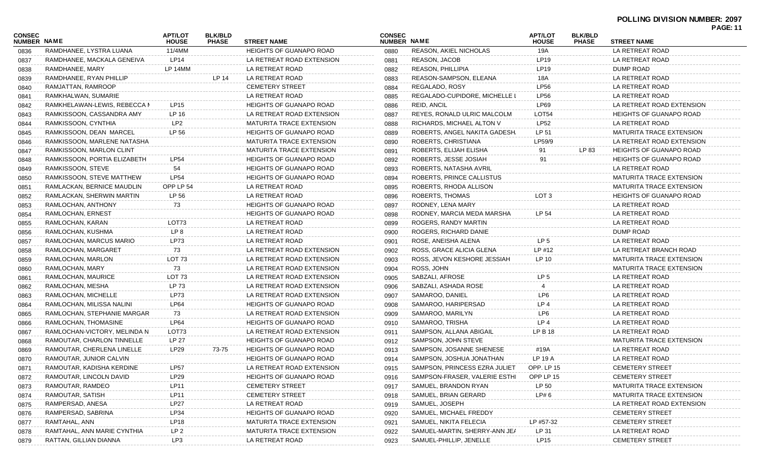| <b>CONSEC</b><br><b>NUMBER NAME</b> |                              | <b>APT/LOT</b><br><b>HOUSE</b> | <b>BLK/BLD</b><br><b>PHASE</b> | <b>STREET NAME</b>              | <b>CONSEC</b><br><b>NUMBER NAME</b> |                               | <b>APT/LOT</b><br><b>HOUSE</b> | <b>BLK/BLD</b><br><b>PHASE</b> | <b>STREET NAME</b>              |
|-------------------------------------|------------------------------|--------------------------------|--------------------------------|---------------------------------|-------------------------------------|-------------------------------|--------------------------------|--------------------------------|---------------------------------|
| 0836                                | RAMDHANEE, LYSTRA LUANA      | 11/4MM                         |                                | <b>HEIGHTS OF GUANAPO ROAD</b>  | 0880                                | REASON, AKIEL NICHOLAS        | 19A                            |                                | LA RETREAT ROAD                 |
| 0837                                | RAMDHANEE, MACKALA GENEIVA   | <b>LP14</b>                    |                                | LA RETREAT ROAD EXTENSION       | 0881                                | <b>REASON, JACOB</b>          | <b>LP19</b>                    |                                | LA RETREAT ROAD                 |
| 0838                                | RAMDHANEE, MARY              | LP 14MM                        |                                | LA RETREAT ROAD                 | 0882                                | <b>REASON, PHILLIPIA</b>      | <b>LP19</b>                    |                                | DUMP ROAD                       |
| 0839                                | RAMDHANEE, RYAN PHILLIP      |                                | LP 14                          | LA RETREAT ROAD                 | 0883                                | REASON-SAMPSON, ELEANA        | 18A                            |                                | LA RETREAT ROAD                 |
| 0840                                | RAMJATTAN, RAMROOP           |                                |                                | <b>CEMETERY STREET</b>          | 0884                                | REGALADO, ROSY                | <b>LP56</b>                    |                                | LA RETREAT ROAD                 |
| 0841                                | RAMKHALWAN, SUMARIE          |                                |                                | LA RETREAT ROAD                 | 0885                                | REGALADO-CUPIDORE, MICHELLE I | <b>LP56</b>                    |                                | LA RETREAT ROAD                 |
| 0842                                | RAMKHELAWAN-LEWIS, REBECCA N | <b>LP15</b>                    |                                | <b>HEIGHTS OF GUANAPO ROAD</b>  | 0886                                | REID, ANCIL                   | <b>LP69</b>                    |                                | LA RETREAT ROAD EXTENSION       |
| 0843                                | RAMKISSOON, CASSANDRA AMY    | LP 16                          |                                | LA RETREAT ROAD EXTENSION       | 0887                                | REYES, RONALD ULRIC MALCOLM   | <b>LOT54</b>                   |                                | <b>HEIGHTS OF GUANAPO ROAD</b>  |
| 0844                                | RAMKISSOON, CYNTHIA          | LP <sub>2</sub>                |                                | MATURITA TRACE EXTENSION        | 0888                                | RICHARDS, MICHAEL ALTON V     | <b>LP52</b>                    |                                | LA RETREAT ROAD                 |
| 0845                                | RAMKISSOON, DEAN MARCEL      | LP 56                          |                                | <b>HEIGHTS OF GUANAPO ROAD</b>  | 0889                                | ROBERTS, ANGEL NAKITA GADESH. | LP 51                          |                                | <b>MATURITA TRACE EXTENSION</b> |
| 0846                                | RAMKISSOON, MARLENE NATASHA  |                                |                                | MATURITA TRACE EXTENSION        | 0890                                | ROBERTS, CHRISTIANA           | LP59/9                         |                                | LA RETREAT ROAD EXTENSION       |
| 0847                                | RAMKISSOON, MARLON CLINT     |                                |                                | MATURITA TRACE EXTENSION        | 0891                                | ROBERTS, ELIJAH ELISHA        | 91                             | LP 83                          | <b>HEIGHTS OF GUANAPO ROAD</b>  |
| 0848                                | RAMKISSOON, PORTIA ELIZABETH | <b>LP54</b>                    |                                | <b>HEIGHTS OF GUANAPO ROAD</b>  | 0892                                | ROBERTS, JESSE JOSIAH         | 91                             |                                | HEIGHTS OF GUANAPO ROAD         |
| 0849                                | RAMKISSOON, STEVE            | 54                             |                                | <b>HEIGHTS OF GUANAPO ROAD</b>  | 0893                                | ROBERTS, NATASHA AVRIL        |                                |                                | LA RETREAT ROAD                 |
| 0850                                | RAMKISSOON, STEVE MATTHEW    | <b>LP54</b>                    |                                | <b>HEIGHTS OF GUANAPO ROAD</b>  | 0894                                | ROBERTS, PRINCE CALLISTUS     |                                |                                | <b>MATURITA TRACE EXTENSION</b> |
| 0851                                | RAMLACKAN, BERNICE MAUDLIN   | OPP LP 54                      |                                | LA RETREAT ROAD                 | 0895                                | ROBERTS, RHODA ALLISON        |                                |                                | <b>MATURITA TRACE EXTENSION</b> |
| 0852                                | RAMLACKAN, SHERWIN MARTIN    | LP 56                          |                                | LA RETREAT ROAD                 | 0896                                | <b>ROBERTS, THOMAS</b>        | LOT <sub>3</sub>               |                                | <b>HEIGHTS OF GUANAPO ROAD</b>  |
| 0853                                | RAMLOCHAN, ANTHONY           | 73                             |                                | <b>HEIGHTS OF GUANAPO ROAD</b>  | 0897                                | RODNEY, LENA MARY             |                                |                                | LA RETREAT ROAD                 |
| 0854                                | RAMLOCHAN, ERNEST            |                                |                                | <b>HEIGHTS OF GUANAPO ROAD</b>  | 0898                                | RODNEY, MARCIA MEDA MARSHA    | LP 54                          |                                | LA RETREAT ROAD                 |
| 0855                                | RAMLOCHAN, KARAN             | LOT73                          |                                | LA RETREAT ROAD                 | 0899                                | ROGERS, RANDY MARTIN          |                                |                                | LA RETREAT ROAD                 |
| 0856                                | RAMLOCHAN, KUSHMA            | LP 8                           |                                | LA RETREAT ROAD                 | 0900                                | ROGERS, RICHARD DANIE         |                                |                                | DUMP ROAD                       |
| 0857                                | RAMLOCHAN, MARCUS MARIO      | LP73                           |                                | LA RETREAT ROAD                 | 0901                                | ROSE, ANEISHA ALENA           | LP <sub>5</sub>                |                                | LA RETREAT ROAD                 |
| 0858                                | RAMLOCHAN, MARGARET          | 73                             |                                | LA RETREAT ROAD EXTENSION       | 0902                                | ROSS, GRACE ALICIA GLENA      | LP #12                         |                                | LA RETREAT BRANCH ROAD          |
| 0859                                | RAMLOCHAN, MARLON            | LOT <sub>73</sub>              |                                | LA RETREAT ROAD EXTENSION       | 0903                                | ROSS, JEVON KESHORE JESSIAH   | LP 10                          |                                | MATURITA TRACE EXTENSION        |
| 0860                                | RAMLOCHAN, MARY              | 73                             |                                | LA RETREAT ROAD EXTENSION       | 0904                                | ROSS, JOHN                    |                                |                                | MATURITA TRACE EXTENSION        |
| 0861                                | RAMLOCHAN, MAURICE           | LOT <sub>73</sub>              |                                | LA RETREAT ROAD EXTENSION       | 0905                                | SABZALI, AFROSE               | LP <sub>5</sub>                |                                | LA RETREAT ROAD                 |
| 0862                                | RAMLOCHAN, MESHA             | LP 73                          |                                | LA RETREAT ROAD EXTENSION       | 0906                                | SABZALI, ASHADA ROSE          |                                |                                | LA RETREAT ROAD                 |
| 0863                                | RAMLOCHAN, MICHELLE          | LP73                           |                                | LA RETREAT ROAD EXTENSION       | 0907                                | SAMAROO, DANIEL               | LP6                            |                                | LA RETREAT ROAD                 |
| 0864                                | RAMLOCHAN, MILISSA NALINI    | <b>LP64</b>                    |                                | <b>HEIGHTS OF GUANAPO ROAD</b>  | 0908                                | SAMAROO, HARIPERSAD           | LP <sub>4</sub>                |                                | LA RETREAT ROAD                 |
| 0865                                | RAMLOCHAN, STEPHANIE MARGAR  | 73                             |                                | LA RETREAT ROAD EXTENSION       | 0909                                | SAMAROO, MARILYN              | LP6                            |                                | LA RETREAT ROAD                 |
| 0866                                | RAMLOCHAN, THOMASINE         | <b>LP64</b>                    |                                | <b>HEIGHTS OF GUANAPO ROAD</b>  | 0910                                | SAMAROO, TRISHA               | LP 4                           |                                | LA RETREAT ROAD                 |
| 0867                                | RAMLOCHAN-VICTORY, MELINDA N | LOT73                          |                                | LA RETREAT ROAD EXTENSION       | 0911                                | SAMPSON, ALLANA ABIGAIL       | LP B 18                        |                                | LA RETREAT ROAD                 |
| 0868                                | RAMOUTAR, CHARLON TINNELLE   | LP 27                          |                                | <b>HEIGHTS OF GUANAPO ROAD</b>  | 0912                                | SAMPSON, JOHN STEVE           |                                |                                | MATURITA TRACE EXTENSION        |
| 0869                                | RAMOUTAR, CHERLENA LINELLE   | LP29                           | 73-75                          | <b>HEIGHTS OF GUANAPO ROAD</b>  | 0913                                | SAMPSON, JOSANNE SHENESE      | #19A                           |                                | LA RETREAT ROAD                 |
| 0870                                | RAMOUTAR, JUNIOR CALVIN      |                                |                                | <b>HEIGHTS OF GUANAPO ROAD</b>  | 0914                                | SAMPSON, JOSHUA JONATHAN      | <b>LP 19 A</b>                 |                                | LA RETREAT ROAD                 |
| 0871                                | RAMOUTAR, KADISHA KERDINE    | <b>LP57</b>                    |                                | LA RETREAT ROAD EXTENSION       | 0915                                | SAMPSON, PRINCESS EZRA JULIET | OPP. LP 15                     |                                | <b>CEMETERY STREET</b>          |
| 0872                                | RAMOUTAR, LINCOLN DAVID      | LP <sub>29</sub>               |                                | <b>HEIGHTS OF GUANAPO ROAD</b>  | 0916                                | SAMPSON-FRASER, VALERIE ESTHI | OPP LP 15                      |                                | <b>CEMETERY STREET</b>          |
| 0873                                | RAMOUTAR, RAMDEO             | <b>LP11</b>                    |                                | <b>CEMETERY STREET</b>          | 0917                                | SAMUEL, BRANDON RYAN          | LP 50                          |                                | <b>MATURITA TRACE EXTENSION</b> |
| 0874                                | RAMOUTAR, SATISH             | <b>LP11</b>                    |                                | <b>CEMETERY STREET</b>          | 0918                                | SAMUEL, BRIAN GERARD          | LP# 6                          |                                | <b>MATURITA TRACE EXTENSION</b> |
| 0875                                | RAMPERSAD, ANESA             | LP27                           |                                | LA RETREAT ROAD                 | 0919                                | SAMUEL, JOSEPH                |                                |                                | LA RETREAT ROAD EXTENSION       |
| 0876                                | RAMPERSAD, SABRINA           | LP34                           |                                | <b>HEIGHTS OF GUANAPO ROAD</b>  | 0920                                | SAMUEL, MICHAEL FREDDY        |                                |                                | <b>CEMETERY STREET</b>          |
| 0877                                | RAMTAHAL, ANN                | LP18                           |                                | <b>MATURITA TRACE EXTENSION</b> | 0921                                | SAMUEL, NIKITA FELECIA        | LP #57-32                      |                                | <b>CEMETERY STREET</b>          |
| 0878                                | RAMTAHAL, ANN MARIE CYNTHIA  | LP <sub>2</sub>                |                                | MATURITA TRACE EXTENSION        | 0922                                | SAMUEL-MARTIN, SHERRY-ANN JEA | LP 31                          |                                | LA RETREAT ROAD                 |
| 0879                                | RATTAN, GILLIAN DIANNA       | LP3                            |                                | LA RETREAT ROAD                 | 0923                                | SAMUEL-PHILLIP, JENELLE       | <b>LP15</b>                    |                                | <b>CEMETERY STREET</b>          |
|                                     |                              |                                |                                |                                 |                                     |                               |                                |                                |                                 |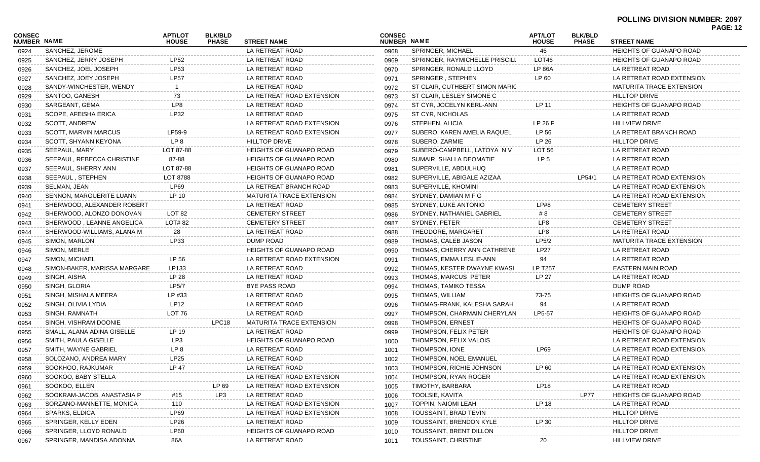| <b>CONSEC</b><br>NUMBER NAME |                              | <b>APT/LOT</b><br><b>HOUSE</b> | <b>BLK/BLD</b><br><b>PHASE</b> | <b>STREET NAME</b>              | <b>CONSEC</b><br>NUMBER NAME |                                | <b>APT/LOT</b><br><b>HOUSE</b> | <b>BLK/BLD</b><br><b>PHASE</b> | . UUL. 14<br><b>STREET NAME</b> |  |
|------------------------------|------------------------------|--------------------------------|--------------------------------|---------------------------------|------------------------------|--------------------------------|--------------------------------|--------------------------------|---------------------------------|--|
| 0924                         | SANCHEZ, JEROME              |                                |                                | LA RETREAT ROAD                 | 0968                         | SPRINGER, MICHAEL              | 46                             |                                | <b>HEIGHTS OF GUANAPO ROAD</b>  |  |
| 0925                         | SANCHEZ, JERRY JOSEPH        | LP52                           |                                | LA RETREAT ROAD                 | 0969                         | SPRINGER, RAYMICHELLE PRISCILI | LOT46                          |                                | <b>HEIGHTS OF GUANAPO ROAD</b>  |  |
| 0926                         | SANCHEZ, JOEL JOSEPH         | LP53                           |                                | LA RETREAT ROAD                 | 0970                         | SPRINGER, RONALD LLOYD         | <b>LP 86A</b>                  |                                | LA RETREAT ROAD                 |  |
| 0927                         | SANCHEZ, JOEY JOSEPH         | <b>LP57</b>                    |                                | LA RETREAT ROAD                 | 0971                         | SPRINGER, STEPHEN              | LP 60                          |                                | LA RETREAT ROAD EXTENSION       |  |
| 0928                         | SANDY-WINCHESTER, WENDY      |                                |                                | LA RETREAT ROAD                 | 0972                         | ST CLAIR, CUTHBERT SIMON MARIC |                                |                                | <b>MATURITA TRACE EXTENSION</b> |  |
| 0929                         | SANTOO, GANESH               | 73                             |                                | LA RETREAT ROAD EXTENSION       | 0973                         | ST CLAIR, LESLEY SIMONE C      |                                |                                | <b>HILLTOP DRIVE</b>            |  |
| 0930                         | SARGEANT, GEMA               | LP8                            |                                | LA RETREAT ROAD                 | 0974                         | ST CYR, JOCELYN KERL-ANN       | LP 11                          |                                | <b>HEIGHTS OF GUANAPO ROAD</b>  |  |
| 0931                         | SCOPE, AFEISHA ERICA         | LP32                           |                                | LA RETREAT ROAD                 | 0975                         | ST CYR, NICHOLAS               |                                |                                | LA RETREAT ROAD                 |  |
| 0932                         | SCOTT, ANDREW                |                                |                                | LA RETREAT ROAD EXTENSION       | 0976                         | STEPHEN, ALICIA                | LP 26 F                        |                                | <b>HILLVIEW DRIVE</b>           |  |
| 0933                         | <b>SCOTT, MARVIN MARCUS</b>  | LP59-9                         |                                | LA RETREAT ROAD EXTENSION       | 0977                         | SUBERO, KAREN AMELIA RAQUEL    | LP 56                          |                                | LA RETREAT BRANCH ROAD          |  |
| 0934                         | SCOTT, SHYANN KEYONA         | LP <sub>8</sub>                |                                | <b>HILLTOP DRIVE</b>            | 0978                         | SUBERO, ZARMIE                 | LP 26                          |                                | <b>HILLTOP DRIVE</b>            |  |
| 0935                         | SEEPAUL, MARY                | LOT 87-88                      |                                | <b>HEIGHTS OF GUANAPO ROAD</b>  | 0979                         | SUBERO-CAMPBELL, LATOYA NV     | LOT 56                         |                                | LA RETREAT ROAD                 |  |
| 0936                         | SEEPAUL, REBECCA CHRISTINE   | 87-88                          |                                | <b>HEIGHTS OF GUANAPO ROAD</b>  | 0980                         | SUMAIR, SHALLA DEOMATIE        | LP 5                           |                                | LA RETREAT ROAD                 |  |
| 0937                         | SEEPAUL, SHERRY ANN          | LOT 87-88                      |                                | <b>HEIGHTS OF GUANAPO ROAD</b>  | 0981                         | SUPERVILLE, ABDULHUQ           |                                |                                | LA RETREAT ROAD                 |  |
| 0938                         | SEEPAUL, STEPHEN             | LOT 8788                       |                                | <b>HEIGHTS OF GUANAPO ROAD</b>  | 0982                         | SUPERVILLE, ABIGALE AZIZAA     |                                | LP54/1                         | LA RETREAT ROAD EXTENSION       |  |
| 0939                         | SELMAN, JEAN                 | <b>LP69</b>                    |                                | LA RETREAT BRANCH ROAD          | 0983                         | SUPERVILLE, KHOMINI            |                                |                                | LA RETREAT ROAD EXTENSION       |  |
| 0940                         | SENNON, MARGUERITE LUANN     | LP 10                          |                                | <b>MATURITA TRACE EXTENSION</b> | 0984                         | SYDNEY, DAMIAN M F G           |                                |                                | LA RETREAT ROAD EXTENSION       |  |
| 0941                         | SHERWOOD, ALEXANDER ROBERT   |                                |                                | LA RETREAT ROAD                 | 0985                         | SYDNEY, LUKE ANTONIO           | LP#8                           |                                | <b>CEMETERY STREET</b>          |  |
| 0942                         | SHERWOOD, ALONZO DONOVAN     | LOT <sub>82</sub>              |                                | <b>CEMETERY STREET</b>          | 0986                         | SYDNEY, NATHANIEL GABRIEL      | #8                             |                                | <b>CEMETERY STREET</b>          |  |
| 0943                         | SHERWOOD, LEANNE ANGELICA    | LOT# 82                        |                                | <b>CEMETERY STREET</b>          | 0987                         | SYDNEY, PETER                  | LP8                            |                                | <b>CEMETERY STREET</b>          |  |
| 0944                         | SHERWOOD-WILLIAMS, ALANA M   | 28                             |                                | LA RETREAT ROAD                 | 0988                         | THEODORE, MARGARET             | LP8                            |                                | LA RETREAT ROAD                 |  |
| 0945                         | SIMON, MARLON                | LP33                           |                                | DUMP ROAD                       | 0989                         | THOMAS, CALEB JASON            | LP5/2                          |                                | <b>MATURITA TRACE EXTENSION</b> |  |
| 0946                         | SIMON, MERLE                 |                                |                                | <b>HEIGHTS OF GUANAPO ROAD</b>  | 0990                         | THOMAS, CHERRY ANN CATHRENE    | <b>LP27</b>                    |                                | LA RETREAT ROAD                 |  |
| 0947                         | SIMON, MICHAEL               | LP 56                          |                                | LA RETREAT ROAD EXTENSION       | 0991                         | THOMAS, EMMA LESLIE-ANN        | 94                             |                                | LA RETREAT ROAD                 |  |
| 0948                         | SIMON-BAKER, MARISSA MARGARE | LP133                          |                                | LA RETREAT ROAD                 | 0992                         | THOMAS, KESTER DWAYNE KWASI    | <b>LP T257</b>                 |                                | EASTERN MAIN ROAD               |  |
| 0949                         | SINGH, AISHA                 | LP 28                          |                                | LA RETREAT ROAD                 | 0993                         | THOMAS, MARCUS PETER           | LP 27                          |                                | LA RETREAT ROAD                 |  |
| 0950                         | SINGH, GLORIA                | LP5/7                          |                                | <b>BYE PASS ROAD</b>            | 0994                         | THOMAS, TAMIKO TESSA           |                                |                                | <b>DUMP ROAD</b>                |  |
| 0951                         | SINGH, MISHALA MEERA         | LP #33                         |                                | LA RETREAT ROAD                 | 0995                         | THOMAS, WILLIAM                | 73-75                          |                                | <b>HEIGHTS OF GUANAPO ROAD</b>  |  |
| 0952                         | SINGH, OLIVIA LYDIA          | <b>LP12</b>                    |                                | LA RETREAT ROAD                 | 0996                         | THOMAS-FRANK, KALESHA SARAH    | 94                             |                                | LA RETREAT ROAD                 |  |
| 0953                         | SINGH, RAMNATH               | LOT 76                         |                                | LA RETREAT ROAD                 | 0997                         | THOMPSON, CHARMAIN CHERYLAN    | LP5-57                         |                                | <b>HEIGHTS OF GUANAPO ROAD</b>  |  |
| 0954                         | SINGH, VISHRAM DOONIE        |                                | LPC18                          | <b>MATURITA TRACE EXTENSION</b> | 0998                         | THOMPSON, ERNEST               |                                |                                | <b>HEIGHTS OF GUANAPO ROAD</b>  |  |
| 0955                         | SMALL, ALANA ADINA GISELLE   | LP 19                          |                                | LA RETREAT ROAD                 | 0999                         | THOMPSON, FELIX PETER          |                                |                                | <b>HEIGHTS OF GUANAPO ROAD</b>  |  |
| 0956                         | SMITH, PAULA GISELLE         | LP3                            |                                | <b>HEIGHTS OF GUANAPO ROAD</b>  | 1000                         | THOMPSON, FELIX VALOIS         |                                |                                | LA RETREAT ROAD EXTENSION       |  |
| 0957                         | SMITH, WAYNE GABRIEL         | LP <sub>8</sub>                |                                | LA RETREAT ROAD                 | 1001                         | THOMPSON, IONE                 | <b>LP69</b>                    |                                | LA RETREAT ROAD EXTENSION       |  |
| 0958                         | SOLOZANO, ANDREA MARY        | LP25                           |                                | LA RETREAT ROAD                 | 1002                         | THOMPSON, NOEL EMANUEL         |                                |                                | LA RETREAT ROAD                 |  |
| 0959                         | SOOKHOO, RAJKUMAR            | LP 47                          |                                | LA RETREAT ROAD                 | 1003                         | THOMPSON, RICHIE JOHNSON       | LP 60                          |                                | LA RETREAT ROAD EXTENSION       |  |
| 0960                         | SOOKOO, BABY STELLA          |                                |                                | LA RETREAT ROAD EXTENSION       | 1004                         | THOMPSON, RYAN ROGER           |                                |                                | LA RETREAT ROAD EXTENSION       |  |
| 0961                         | SOOKOO, ELLEN                |                                | LP 69                          | LA RETREAT ROAD EXTENSION       | 1005                         | TIMOTHY, BARBARA               | <b>LP18</b>                    |                                | LA RETREAT ROAD                 |  |
| 0962                         | SOOKRAM-JACOB, ANASTASIA P   | #15                            | LP3                            | LA RETREAT ROAD                 | 1006                         | TOOLSIE, KAVITA                |                                | LP77                           | <b>HEIGHTS OF GUANAPO ROAD</b>  |  |
| 0963                         | SORZANO-MANNETTE, MONICA     | 110                            |                                | LA RETREAT ROAD EXTENSION       | 1007                         | <b>TOPPIN, NAIOMI LEAH</b>     | LP 18                          |                                | LA RETREAT ROAD                 |  |
| 0964                         | SPARKS, ELDICA               | LP69                           |                                | LA RETREAT ROAD EXTENSION       | 1008                         | TOUSSAINT, BRAD TEVIN          |                                |                                | <b>HILLTOP DRIVE</b>            |  |
| 0965                         | SPRINGER, KELLY EDEN         | LP26                           |                                | LA RETREAT ROAD                 | 1009                         | TOUSSAINT, BRENDON KYLE        | LP 30                          |                                | <b>HILLTOP DRIVE</b>            |  |
| 0966                         | SPRINGER, LLOYD RONALD       | <b>LP60</b>                    |                                | <b>HEIGHTS OF GUANAPO ROAD</b>  | 1010                         | TOUSSAINT, BRENT DILLON        |                                |                                | <b>HILLTOP DRIVE</b>            |  |
| 0967                         | SPRINGER, MANDISA ADONNA     | 86A                            |                                | LA RETREAT ROAD                 | 1011                         | TOUSSAINT, CHRISTINE           | 20                             |                                | <b>HILLVIEW DRIVE</b>           |  |
|                              |                              |                                |                                |                                 |                              |                                |                                |                                |                                 |  |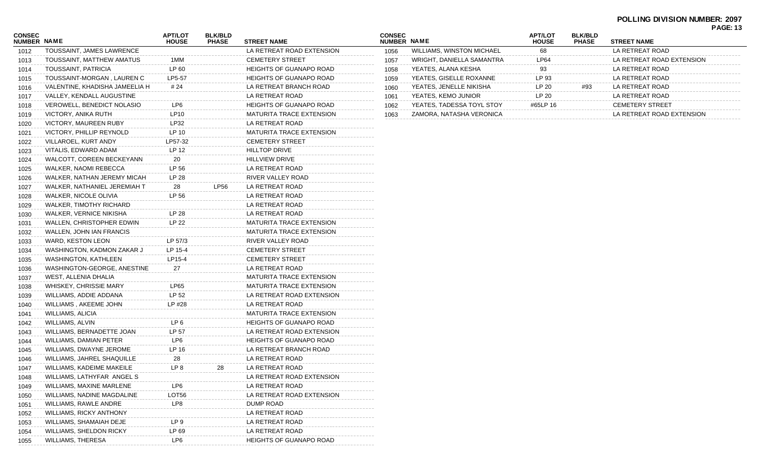# **POLLING DIVISION NUMBER: 2097**

| <b>PAGE: 13</b> |  |
|-----------------|--|
|-----------------|--|

| CONSEC<br><b>NUMBER NAME</b> |                                 | <b>APT/LOT</b><br><b>HOUSE</b> | <b>BLK/BLD</b><br><b>PHASE</b> | <b>STREET NAME</b>              | CO<br><b>NU</b> |
|------------------------------|---------------------------------|--------------------------------|--------------------------------|---------------------------------|-----------------|
| 1012                         | TOUSSAINT, JAMES LAWRENCE       |                                |                                | LA RETREAT ROAD EXTENSION       | 1               |
| 1013                         | TOUSSAINT, MATTHEW AMATUS       | 1MM                            |                                | <b>CEMETERY STREET</b>          | 1               |
| 1014                         | TOUSSAINT, PATRICIA             | LP 60                          |                                | <b>HEIGHTS OF GUANAPO ROAD</b>  | 1               |
| 1015                         | TOUSSAINT-MORGAN, LAUREN C      | LP5-57                         |                                | <b>HEIGHTS OF GUANAPO ROAD</b>  | 1               |
| 1016                         | VALENTINE, KHADISHA JAMEELIA H  | # 24                           |                                | LA RETREAT BRANCH ROAD          | 1               |
| 1017                         | VALLEY, KENDALL AUGUSTINE       |                                |                                | LA RETREAT ROAD                 | 1               |
| 1018                         | VEROWELL, BENEDICT NOLASIO      | LP6                            |                                | <b>HEIGHTS OF GUANAPO ROAD</b>  | 1               |
| 1019                         | VICTORY, ANIKA RUTH             | LP10                           |                                | <b>MATURITA TRACE EXTENSION</b> | 1               |
| 1020                         | VICTORY, MAUREEN RUBY           | LP32                           |                                | LA RETREAT ROAD                 |                 |
| 1021                         | <b>VICTORY, PHILLIP REYNOLD</b> | LP 10                          |                                | <b>MATURITA TRACE EXTENSION</b> |                 |
| 1022                         | VILLAROEL, KURT ANDY            | LP57-32                        |                                | <b>CEMETERY STREET</b>          |                 |
| 1023                         | VITALIS, EDWARD ADAM            | LP 12                          |                                | <b>HILLTOP DRIVE</b>            |                 |
| 1024                         | WALCOTT, COREEN BECKEYANN       | 20                             |                                | <b>HILLVIEW DRIVE</b>           |                 |
| 1025                         | WALKER, NAOMI REBECCA           | LP 56                          |                                | LA RETREAT ROAD                 |                 |
| 1026                         | WALKER, NATHAN JEREMY MICAH     | LP 28                          |                                | RIVER VALLEY ROAD               |                 |
| 1027                         | WALKER, NATHANIEL JEREMIAH T    | 28                             | <b>LP56</b>                    | LA RETREAT ROAD                 |                 |
| 1028                         | WALKER, NICOLE OLIVIA           | LP 56                          |                                | LA RETREAT ROAD                 |                 |
| 1029                         | WALKER, TIMOTHY RICHARD         |                                |                                | LA RETREAT ROAD                 |                 |
| 1030                         | WALKER, VERNICE NIKISHA         | LP 28                          |                                | LA RETREAT ROAD                 |                 |
| 1031                         | WALLEN, CHRISTOPHER EDWIN       | LP 22                          |                                | <b>MATURITA TRACE EXTENSION</b> |                 |
| 1032                         | <b>WALLEN, JOHN IAN FRANCIS</b> |                                |                                | <b>MATURITA TRACE EXTENSION</b> |                 |
| 1033                         | WARD, KESTON LEON               | LP 57/3                        |                                | RIVER VALLEY ROAD               |                 |
| 1034                         | WASHINGTON, KADMON ZAKAR J      | LP 15-4                        |                                | <b>CEMETERY STREET</b>          |                 |
| 1035                         | WASHINGTON, KATHLEEN            | LP15-4                         |                                | <b>CEMETERY STREET</b>          |                 |
| 1036                         | WASHINGTON-GEORGE, ANESTINE     | 27                             |                                | LA RETREAT ROAD                 |                 |
| 1037                         | WEST, ALLENIA DHALIA            |                                |                                | <b>MATURITA TRACE EXTENSION</b> |                 |
| 1038                         | WHISKEY, CHRISSIE MARY          | LP65                           |                                | <b>MATURITA TRACE EXTENSION</b> |                 |
| 1039                         | WILLIAMS, ADDIE ADDANA          | LP 52                          |                                | LA RETREAT ROAD EXTENSION       |                 |
| 1040                         | WILLIAMS, AKEEME JOHN           | LP #28                         |                                | LA RETREAT ROAD                 |                 |
| 1041                         | <b>WILLIAMS, ALICIA</b>         |                                |                                | <b>MATURITA TRACE EXTENSION</b> |                 |
| 1042                         | WILLIAMS, ALVIN                 | LP 6                           |                                | <b>HEIGHTS OF GUANAPO ROAD</b>  |                 |
| 1043                         | WILLIAMS, BERNADETTE JOAN       | LP 57                          |                                | LA RETREAT ROAD EXTENSION       |                 |
|                              | WILLIAMS, DAMIAN PETER          | LP6                            |                                | <b>HEIGHTS OF GUANAPO ROAD</b>  |                 |
| 1044                         | WILLIAMS, DWAYNE JEROME         | LP 16                          |                                | LA RETREAT BRANCH ROAD          |                 |
| 1045                         | WILLIAMS, JAHREL SHAQUILLE      | 28                             |                                | LA RETREAT ROAD                 |                 |
| 1046                         |                                 | LP 8                           | 28                             | LA RETREAT ROAD                 |                 |
| 1047                         | WILLIAMS, KADEIME MAKEILE       |                                |                                |                                 |                 |
| 1048                         | WILLIAMS, LATHYFAR ANGEL S      |                                |                                | LA RETREAT ROAD EXTENSION       |                 |
| 1049                         | WILLIAMS, MAXINE MARLENE        | LP6                            |                                | LA RETREAT ROAD                 |                 |
| 1050                         | WILLIAMS, NADINE MAGDALINE      | LOT56                          |                                | LA RETREAT ROAD EXTENSION       |                 |
| 1051                         | WILLIAMS, RAWLE ANDRE           | LP8                            |                                | DUMP ROAD                       |                 |
| 1052                         | <b>WILLIAMS, RICKY ANTHONY</b>  |                                |                                | LA RETREAT ROAD                 |                 |
| 1053                         | WILLIAMS, SHAMAIAH DEJE         | LP 9                           |                                | LA RETREAT ROAD                 |                 |
| 1054                         | WILLIAMS, SHELDON RICKY         | LP 69                          |                                | LA RETREAT ROAD                 |                 |
| 1055                         | <b>WILLIAMS, THERESA</b>        | LP6                            |                                | <b>HEIGHTS OF GUANAPO ROAD</b>  |                 |

| <b>CONSEC</b><br><b>NUMBER NAME</b> |                                  | <b>APT/LOT</b><br><b>HOUSE</b> | <b>BLK/BLD</b><br><b>PHASE</b> | <b>STREET NAME</b>        |
|-------------------------------------|----------------------------------|--------------------------------|--------------------------------|---------------------------|
| 1056                                | <b>WILLIAMS, WINSTON MICHAEL</b> | 68                             |                                | LA RETREAT ROAD           |
| 1057                                | WRIGHT, DANIELLA SAMANTRA        | LP64                           |                                | LA RETREAT ROAD EXTENSION |
| 1058                                | YEATES, ALANA KESHA              | 93                             |                                | LA RETREAT ROAD           |
| 1059                                | YEATES, GISELLE ROXANNE          | LP 93                          |                                | LA RETREAT ROAD           |
| 1060                                | YEATES, JENELLE NIKISHA          | LP 20                          | #93                            | LA RETREAT ROAD           |
| 1061                                | YEATES, KEMO JUNIOR              | LP <sub>20</sub>               |                                | LA RETREAT ROAD           |
| 1062                                | YEATES, TADESSA TOYL STOY        | #65LP 16                       |                                | <b>CEMETERY STREET</b>    |
| 1063                                | ZAMORA, NATASHA VERONICA         |                                |                                | LA RETREAT ROAD EXTENSION |